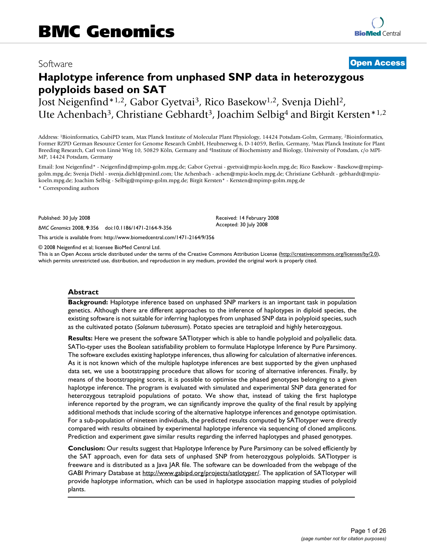# Software **[Open Access](http://www.biomedcentral.com/info/about/charter/)**

# **Haplotype inference from unphased SNP data in heterozygous polyploids based on SAT**

Jost Neigenfind\*1,2, Gabor Gyetvai3, Rico Basekow1,2, Svenja Diehl2, Ute Achenbach<sup>3</sup>, Christiane Gebhardt<sup>3</sup>, Joachim Selbig<sup>4</sup> and Birgit Kersten\*<sup>1,2</sup>

Address: 1Bioinformatics, GabiPD team, Max Planck Institute of Molecular Plant Physiology, 14424 Potsdam-Golm, Germany, 2Bioinformatics, Former RZPD German Resource Center for Genome Research GmbH, Heubnerweg 6, D-14059, Berlin, Germany, 3Max Planck Institute for Plant Breeding Research, Carl von Linnè Weg 10, 50829 Köln, Germany and 4Institute of Biochemistry and Biology, University of Potsdam, c/o MPI-MP, 14424 Potsdam, Germany

Email: Jost Neigenfind\* - Neigenfind@mpimp-golm.mpg.de; Gabor Gyetvai - gyetvai@mpiz-koeln.mpg.de; Rico Basekow - Basekow@mpimpgolm.mpg.de; Svenja Diehl - svenja.diehl@pmintl.com; Ute Achenbach - achen@mpiz-koeln.mpg.de; Christiane Gebhardt - gebhardt@mpizkoeln.mpg.de; Joachim Selbig - Selbig@mpimp-golm.mpg.de; Birgit Kersten\* - Kersten@mpimp-golm.mpg.de

> Received: 14 February 2008 Accepted: 30 July 2008

\* Corresponding authors

Published: 30 July 2008

*BMC Genomics* 2008, **9**:356 doi:10.1186/1471-2164-9-356

[This article is available from: http://www.biomedcentral.com/1471-2164/9/356](http://www.biomedcentral.com/1471-2164/9/356)

© 2008 Neigenfind et al; licensee BioMed Central Ltd.

This is an Open Access article distributed under the terms of the Creative Commons Attribution License [\(http://creativecommons.org/licenses/by/2.0\)](http://creativecommons.org/licenses/by/2.0), which permits unrestricted use, distribution, and reproduction in any medium, provided the original work is properly cited.

#### **Abstract**

**Background:** Haplotype inference based on unphased SNP markers is an important task in population genetics. Although there are different approaches to the inference of haplotypes in diploid species, the existing software is not suitable for inferring haplotypes from unphased SNP data in polyploid species, such as the cultivated potato (*Solanum tuberosum*). Potato species are tetraploid and highly heterozygous.

**Results:** Here we present the software SATlotyper which is able to handle polyploid and polyallelic data. SATlo-typer uses the Boolean satisfiability problem to formulate Haplotype Inference by Pure Parsimony. The software excludes existing haplotype inferences, thus allowing for calculation of alternative inferences. As it is not known which of the multiple haplotype inferences are best supported by the given unphased data set, we use a bootstrapping procedure that allows for scoring of alternative inferences. Finally, by means of the bootstrapping scores, it is possible to optimise the phased genotypes belonging to a given haplotype inference. The program is evaluated with simulated and experimental SNP data generated for heterozygous tetraploid populations of potato. We show that, instead of taking the first haplotype inference reported by the program, we can significantly improve the quality of the final result by applying additional methods that include scoring of the alternative haplotype inferences and genotype optimisation. For a sub-population of nineteen individuals, the predicted results computed by SATlotyper were directly compared with results obtained by experimental haplotype inference via sequencing of cloned amplicons. Prediction and experiment gave similar results regarding the inferred haplotypes and phased genotypes.

**Conclusion:** Our results suggest that Haplotype Inference by Pure Parsimony can be solved efficiently by the SAT approach, even for data sets of unphased SNP from heterozygous polyploids. SATlotyper is freeware and is distributed as a Java JAR file. The software can be downloaded from the webpage of the GABI Primary Database at [http://www.gabipd.org/projects/satlotyper/.](http://www.gabipd.org/projects/satlotyper/) The application of SATlotyper will provide haplotype information, which can be used in haplotype association mapping studies of polyploid plants.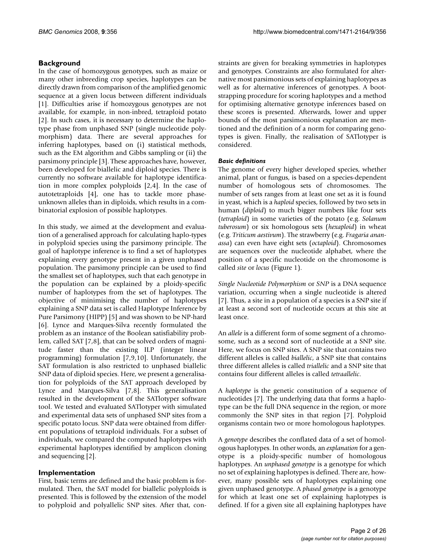# **Background**

In the case of homozygous genotypes, such as maize or many other inbreeding crop species, haplotypes can be directly drawn from comparison of the amplified genomic sequence at a given locus between different individuals [1]. Difficulties arise if homozygous genotypes are not available, for example, in non-inbred, tetraploid potato [2]. In such cases, it is necessary to determine the haplotype phase from unphased SNP (single nucleotide polymorphism) data. There are several approaches for inferring haplotypes, based on (i) statistical methods, such as the EM algorithm and Gibbs sampling or (ii) the parsimony principle [3]. These approaches have, however, been developed for biallelic and diploid species. There is currently no software available for haplotype identification in more complex polyploids [2,4]. In the case of autotetraploids [4], one has to tackle more phaseunknown alleles than in diploids, which results in a combinatorial explosion of possible haplotypes.

In this study, we aimed at the development and evaluation of a generalised approach for calculating haplo-types in polyploid species using the parsimony principle. The goal of haplotype inference is to find a set of haplotypes explaining every genotype present in a given unphased population. The parsimony principle can be used to find the smallest set of haplotypes, such that each genotype in the population can be explained by a ploidy-specific number of haplotypes from the set of haplotypes. The objective of minimising the number of haplotypes explaining a SNP data set is called Haplotype Inference by Pure Parsimony (HIPP) [5] and was shown to be NP-hard [6]. Lynce and Marques-Silva recently formulated the problem as an instance of the Boolean satisfiability problem, called SAT [7,8], that can be solved orders of magnitude faster than the existing ILP (integer linear programming) formulation [7,9,10]. Unfortunately, the SAT formulation is also restricted to unphased biallelic SNP data of diploid species. Here, we present a generalisation for polyploids of the SAT approach developed by Lynce and Marques-Silva [7,8]. This generalisation resulted in the development of the SATlotyper software tool. We tested and evaluated SATlotyper with simulated and experimental data sets of unphased SNP sites from a specific potato locus. SNP data were obtained from different populations of tetraploid individuals. For a subset of individuals, we compared the computed haplotypes with experimental haplotypes identified by amplicon cloning and sequencing [2].

# **Implementation**

First, basic terms are defined and the basic problem is formulated. Then, the SAT model for biallelic polyploids is presented. This is followed by the extension of the model to polyploid and polyallelic SNP sites. After that, constraints are given for breaking symmetries in haplotypes and genotypes. Constraints are also formulated for alternative most parsimonious sets of explaining haplotypes as well as for alternative inferences of genotypes. A bootstrapping procedure for scoring haplotypes and a method for optimising alternative genotype inferences based on these scores is presented. Afterwards, lower and upper bounds of the most parsimonious explanation are mentioned and the definition of a norm for comparing genotypes is given. Finally, the realisation of SATlotyper is considered.

# *Basic definitions*

The genome of every higher developed species, whether animal, plant or fungus, is based on a species-dependent number of homologous sets of chromosomes. The number of sets ranges from at least one set as it is found in yeast, which is a *haploid* species, followed by two sets in human (*diploid*) to much bigger numbers like four sets (*tetraploid*) in some varieties of the potato (e.g. *Solanum tuberosum*) or six homologous sets (*hexaploid*) in wheat (e.g. *Triticum aestivum*). The strawberry (e.g. *Fragaria ananassa*) can even have eight sets (*octaploid*). Chromosomes are sequences over the nucleotide alphabet, where the position of a specific nucleotide on the chromosome is called *site* or *locus* (Figure 1).

*Single Nucleotide Polymorphism* or *SNP* is a DNA sequence variation, occurring when a single nucleotide is altered [7]. Thus, a site in a population of a species is a SNP site if at least a second sort of nucleotide occurs at this site at least once.

An *allele* is a different form of some segment of a chromosome, such as a second sort of nucleotide at a SNP site. Here, we focus on SNP sites. A SNP site that contains two different alleles is called *biallelic*, a SNP site that contains three different alleles is called *triallelic* and a SNP site that contains four different alleles is called *tetraallelic*.

A *haplotype* is the genetic constitution of a sequence of nucleotides [7]. The underlying data that forms a haplotype can be the full DNA sequence in the region, or more commonly the SNP sites in that region [7]. Polyploid organisms contain two or more homologous haplotypes.

A *genotype* describes the conflated data of a set of homologous haplotypes. In other words, an *explanation* for a genotype is a ploidy-specific number of homologous haplotypes. An *unphased genotype* is a genotype for which no set of explaining haplotypes is defined. There are, however, many possible sets of haplotypes explaining one given unphased genotype. A *phased genotype* is a genotype for which at least one set of explaining haplotypes is defined. If for a given site all explaining haplotypes have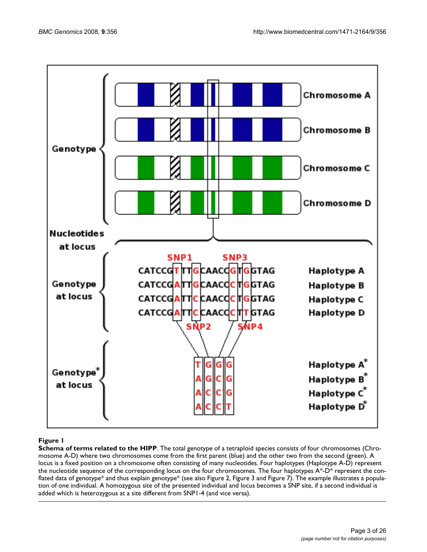

**Schema of terms related to the HIPP**. The total genotype of a tetraploid species consists of four chromosomes (Chromosome A-D) where two chromosomes come from the first parent (blue) and the other two from the second (green). A locus is a fixed position on a chromosome often consisting of many nucleotides. Four haplotypes (Haplotype A-D) represent the nucleotide sequence of the corresponding locus on the four chromosomes. The four haplotypes  $A^*$ -D\* represent the conflated data of genotype\* and thus explain genotype\* (see also Figure 2, Figure 3 and Figure 7). The example illustrates a population of one individual. A homozygous site of the presented individual and locus becomes a SNP site, if a second individual is added which is heterozygous at a site different from SNP1-4 (and vice versa).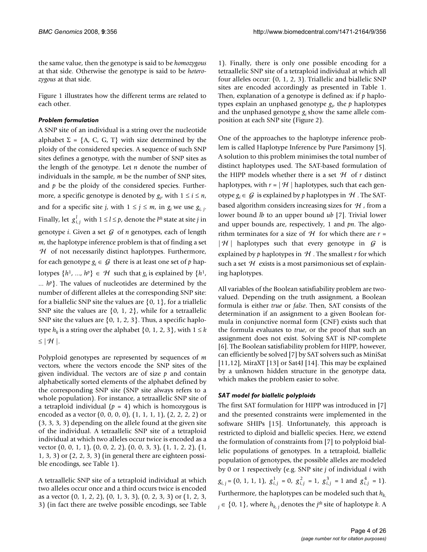the same value, then the genotype is said to be *homozygous* at that side. Otherwise the genotype is said to be *heterozygous* at that side.

Figure 1 illustrates how the different terms are related to each other.

# *Problem formulation*

A SNP site of an individual is a string over the nucleotide alphabet  $\Sigma = \{A, C, G, T\}$  with size determined by the ploidy of the considered species. A sequence of such SNP sites defines a genotype, with the number of SNP sites as the length of the genotype. Let *n* denote the number of individuals in the sample, *m* be the number of SNP sites, and  $p$  be the ploidy of the considered species. Furthermore, a specific genotype is denoted by  $g_i$ , with  $1 \le i \le n$ , and for a specific site *j*, with  $1 \le j \le m$ , in  $g_i$  we use  $g_{i,j}$ . Finally, let  $g_{i,j}^l$  with  $1 \le l \le p$ , denote the *l<sup>th</sup>* state at site *j* in genotype *i*. Given a set G of *n* genotypes, each of length *m*, the haplotype inference problem is that of finding a set  $H$  of not necessarily distinct haplotypes. Furthermore, for each genotype  $g_i \in G$  there is at least one set of  $p$  haplotypes  $\{h^1, ..., h^p\} \in \mathcal{H}$  such that  $g_i$  is explained by  $\{h^1,$ ... *hp*}. The values of nucleotides are determined by the number of different alleles at the corresponding SNP site: for a biallelic SNP site the values are  $\{0, 1\}$ , for a triallelic SNP site the values are  $\{0, 1, 2\}$ , while for a tetraallelic SNP site the values are  $\{0, 1, 2, 3\}$ . Thus, a specific haplotype  $h_k$  is a string over the alphabet  $\{0, 1, 2, 3\}$ , with  $1 \leq k$  $\leq$  | H |.

Polyploid genotypes are represented by sequences of *m* vectors, where the vectors encode the SNP sites of the given individual. The vectors are of size *p* and contain alphabetically sorted elements of the alphabet defined by the corresponding SNP site (SNP site always refers to a whole population). For instance, a tetraallelic SNP site of a tetraploid individual  $(p = 4)$  which is homozygous is encoded as a vector (0, 0, 0, 0), (1, 1, 1, 1), (2, 2, 2, 2) or (3, 3, 3, 3) depending on the allele found at the given site of the individual. A tetraallelic SNP site of a tetraploid individual at which two alleles occur twice is encoded as a vector (0, 0, 1, 1), (0, 0, 2, 2), (0, 0, 3, 3), (1, 1, 2, 2), (1, 1, 3, 3) or (2, 2, 3, 3) (in general there are eighteen possible encodings, see Table 1).

A tetraallelic SNP site of a tetraploid individual at which two alleles occur once and a third occurs twice is encoded as a vector (0, 1, 2, 2), (0, 1, 3, 3), (0, 2, 3, 3) or (1, 2, 3, 3) (in fact there are twelve possible encodings, see Table

1). Finally, there is only one possible encoding for a tetraallelic SNP site of a tetraploid individual at which all four alleles occur: (0, 1, 2, 3). Triallelic and biallelic SNP sites are encoded accordingly as presented in Table 1. Then, explanation of a genotype is defined as: if *p* haplotypes explain an unphased genotype *gi* , the *p* haplotypes and the unphased genotype *gi* show the same allele composition at each SNP site (Figure 2).

One of the approaches to the haplotype inference problem is called Haplotype Inference by Pure Parsimony [5]. A solution to this problem minimises the total number of distinct haplotypes used. The SAT-based formulation of the HIPP models whether there is a set  $H$  of  $r$  distinct haplotypes, with  $r = |H|$  haplotypes, such that each genotype  $g_i$  ∈  $G$  is explained by  $p$  haplotypes in  $H$  . The SATbased algorithm considers increasing sizes for  ${\cal H}$  , from a lower bound *lb* to an upper bound *ub* [7]. Trivial lower and upper bounds are, respectively, 1 and *pn*. The algorithm terminates for a size of  $H$  for which there are  $r =$ | $H$ | haplotypes such that every genotype in  $G$  is explained by  $p$  haplotypes in  $H$  . The smallest  $r$  for which such a set  $H$  exists is a most parsimonious set of explaining haplotypes.

All variables of the Boolean satisfiability problem are twovalued. Depending on the truth assignment, a Boolean formula is either *true* or *false*. Then, SAT consists of the determination if an assignment to a given Boolean formula in conjunctive normal form (CNF) exists such that the formula evaluates to *true*, or the proof that such an assignment does not exist. Solving SAT is NP-complete [6]. The Boolean satisfiability problem for HIPP, however, can efficiently be solved [7] by SAT solvers such as MiniSat [11,12], MiraXT [13] or Sat4J [14]. This may be explained by a unknown hidden structure in the genotype data, which makes the problem easier to solve.

#### *SAT model for biallelic polyploids*

The first SAT formulation for HIPP was introduced in [7] and the presented constraints were implemented in the software SHIPs [15]. Unfortunately, this approach is restricted to diploid and biallelic species. Here, we extend the formulation of constraints from [7] to polyploid biallelic populations of genotypes. In a tetraploid, biallelic population of genotypes, the possible alleles are modeled by 0 or 1 respectively (e.g. SNP site *j* of individual *i* with  $g_{i,j} = (0, 1, 1, 1), g_{i,j}^1 = 0, g_{i,j}^2 = 1, g_{i,j}^3 = 1 \text{ and } g_{i,j}^4 = 1$ . Furthermore, the haplotypes can be modeled such that  $h_k$ , *j*∈ {0, 1}, where  $h_{k,j}$  denotes the *j<sup>th</sup>* site of haplotype *k*. A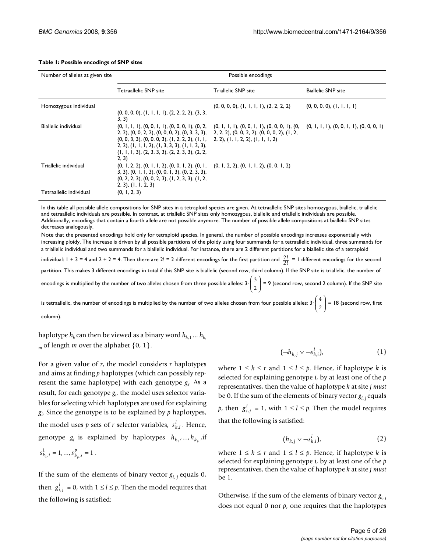#### **Table 1: Possible encodings of SNP sites**

| Number of alleles at given site | Possible encodings                                                                                                                                                                                                                                                                                                                                                                                                                                                     |                                            |                            |  |  |  |  |  |  |
|---------------------------------|------------------------------------------------------------------------------------------------------------------------------------------------------------------------------------------------------------------------------------------------------------------------------------------------------------------------------------------------------------------------------------------------------------------------------------------------------------------------|--------------------------------------------|----------------------------|--|--|--|--|--|--|
|                                 | Tetraallelic SNP site                                                                                                                                                                                                                                                                                                                                                                                                                                                  | Triallelic SNP site                        | <b>Biallelic SNP site</b>  |  |  |  |  |  |  |
| Homozygous individual           | $(0, 0, 0, 0)$ , $(1, 1, 1, 1)$ , $(2, 2, 2, 2)$ , $(3, 3, 1)$<br>3, 3)                                                                                                                                                                                                                                                                                                                                                                                                | $(0, 0, 0, 0), (1, 1, 1, 1), (2, 2, 2, 2)$ | (0, 0, 0, 0), (1, 1, 1, 1) |  |  |  |  |  |  |
| Biallelic individual            | $(0, 1, 1, 1), (0, 0, 1, 1), (0, 0, 0, 1), (0, 2, (0, 1, 1, 1), (0, 0, 1, 1), (0, 0, 0, 1), (0, (0, 1, 1, 1), (0, 0, 1, 1), (0, 0, 0, 1)$<br>2, 2), (0, 0, 2, 2), (0, 0, 0, 2), (0, 3, 3, 3), 2, 2, 2), (0, 0, 2, 2), (0, 0, 0, 2), (1, 2,<br>$(0, 0, 3, 3), (0, 0, 0, 3), (1, 2, 2, 2), (1, 1, 2, 2), (1, 1, 2, 2), (1, 1, 1, 2)$<br>$2, 2$ , $(1, 1, 1, 2)$ , $(1, 3, 3, 3)$ , $(1, 1, 3, 3)$ ,<br>$(1, 1, 1, 3), (2, 3, 3, 3), (2, 2, 3, 3), (2, 2, 3, 3)$<br>2, 3) |                                            |                            |  |  |  |  |  |  |
| Triallelic individual           | $(0, 1, 2, 2), (0, 1, 1, 2), (0, 0, 1, 2), (0, 1, (0, 1, 2, 2), (0, 1, 1, 2), (0, 0, 1, 2)$<br>$3, 3$ , $(0, 1, 1, 3)$ , $(0, 0, 1, 3)$ , $(0, 2, 3, 3)$ ,<br>$(0, 2, 2, 3), (0, 0, 2, 3), (1, 2, 3, 3), (1, 2, 3, 3)$<br>2, 3), (1, 1, 2, 3)                                                                                                                                                                                                                          |                                            |                            |  |  |  |  |  |  |
| Tetraallelic individual         | (0, 1, 2, 3)                                                                                                                                                                                                                                                                                                                                                                                                                                                           |                                            |                            |  |  |  |  |  |  |

In this table all possible allele compositions for SNP sites in a tetraploid species are given. At tetraallelic SNP sites homozygous, biallelic, triallelic and tetraallelic individuals are possible. In contrast, at triallelic SNP sites only homozygous, biallelic and triallelic individuals are possible. Additionally, encodings that contain a fourth allele are not possible anymore. The number of possible allele compositions at biallelic SNP sites decreases analogously.

Note that the presented encodings hold only for tetraploid species. In general, the number of possible encodings increases exponentially with increasing ploidy. The increase is driven by all possible partitions of the ploidy using four summands for a tetraallelic individual, three summands for a triallelic individual and two summands for a biallelic individual. For instance, there are 2 different partitions for a biallelic site of a tetraploid individual:  $1 + 3 = 4$  and  $2 + 2 = 4$ . Then there are 2! = 2 different encodings for the first partition and  $\frac{2!}{2!} = 1$  different encodings for the second partition. This makes 3 different encodings in total if this SNP site is biallelic (second row, third column). If the SNP site is triallelic, the number of encodings is multiplied by the number of two alleles chosen from three possible alleles:  $3 \cdot \binom{3}{3} = 9$  (second row, second 2 column). If the SNP site 2 ! ! 2 ⎛  $\binom{3}{2}$ 

is tetraallelic, the number of encodings is multiplied by the number of two alleles chosen from four possible alleles: 3 $\binom{4}{3}$  = 18 (second row, first 2 ⎛  $\binom{4}{2}$ 

column).

haplotype  $h_k$  can then be viewed as a binary word  $h_{k,1} \dots h_{k,k}$  $<sub>m</sub>$  of length *m* over the alphabet {0, 1}.</sub>

For a given value of *r*, the model considers *r* haplotypes and aims at finding *p* haplotypes (which can possibly represent the same haplotype) with each genotype *gi* . As a result, for each genotype *gi* , the model uses selector variables for selecting which haplotypes are used for explaining *gi* . Since the genotype is to be explained by *p* haplotypes, the model uses  $p$  sets of  $r$  selector variables,  $s_{k,i}^l$ . Hence, genotype  $g_i$  is explained by haplotypes  $h_{k_1},...,h_{k_p}$ , if  $s_{k_1,i}^1 = 1, ..., s_{k_n,i}^p = 1$ .  $\frac{1}{k_1, i} = 1, ..., s_{k_p, i}^p = 1$ 

If the sum of the elements of binary vector  $g_{i,j}$  equals 0, then  $g_{i,j}^l = 0$ , with  $1 \le l \le p$ . Then the model requires that the following is satisfied:

$$
(\neg h_{k,j} \lor \neg s_{k,i}^l), \qquad (1)
$$

where  $1 \leq k \leq r$  and  $1 \leq l \leq p$ . Hence, if haplotype *k* is selected for explaining genotype *i*, by at least one of the *p* representatives, then the value of haplotype *k* at site *j must* be 0. If the sum of the elements of binary vector *gi*, *j* equals *p*, then  $g_{i,j}^l = 1$ , with  $1 \le l \le p$ . Then the model requires that the following is satisfied:

$$
(h_{k,j} \vee \neg s_{k,i}^l), \qquad (2)
$$

where  $1 \leq k \leq r$  and  $1 \leq l \leq p$ . Hence, if haplotype *k* is selected for explaining genotype *i*, by at least one of the *p* representatives, then the value of haplotype *k* at site *j must* be 1.

Otherwise, if the sum of the elements of binary vector  $g_{i,j}$ does not equal 0 nor *p*, one requires that the haplotypes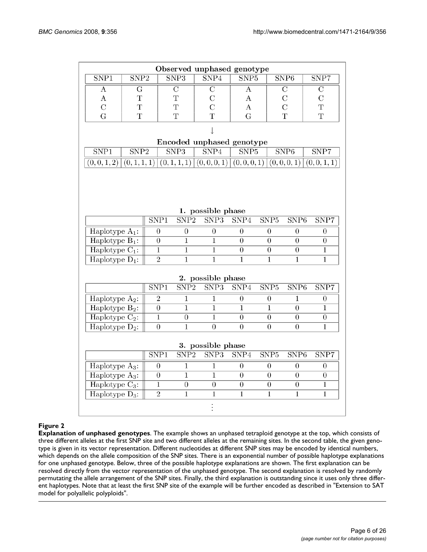| Observed unphased genotype                                                                                           |                                                                          |                  |                    |                                  |                          |                |                            |                    |  |  |  |  |
|----------------------------------------------------------------------------------------------------------------------|--------------------------------------------------------------------------|------------------|--------------------|----------------------------------|--------------------------|----------------|----------------------------|--------------------|--|--|--|--|
| SNP1                                                                                                                 | SNP2                                                                     |                  | SNP3               | $\overline{\text{SNP4}}$         | SNP5                     |                | $\overline{\mathrm{SNP6}}$ | SNP7               |  |  |  |  |
| A                                                                                                                    | G                                                                        |                  | $\overline{\rm C}$ | $\overline{\rm C}$               | A                        |                | C                          | $\overline{\rm C}$ |  |  |  |  |
| А                                                                                                                    | $\mathbf T$                                                              | T                |                    | $\overline{C}$                   | A                        |                | $\overline{C}$             | $\rm C$            |  |  |  |  |
| $\overline{C}$                                                                                                       | $\mathbf T$                                                              |                  | T                  | $\overline{C}$                   | А                        |                | $\overline{C}$             | T                  |  |  |  |  |
| G                                                                                                                    | $\mathbf T$                                                              |                  | T                  | T                                | $\rm G$                  |                | T                          | T                  |  |  |  |  |
| $\overline{\phantom{a}}$<br>Encoded unphased genotype                                                                |                                                                          |                  |                    |                                  |                          |                |                            |                    |  |  |  |  |
|                                                                                                                      | $\overline{\text{SNP}}4$<br>SNP1<br>SNP2<br>SNP3<br>SNP5<br>SNP6<br>SNP7 |                  |                    |                                  |                          |                |                            |                    |  |  |  |  |
| (0, 0, 1, 2)<br>$(0,1,1,1)$ $(0,1,1,1)$ $(0,0,0,1)$<br>(0,0,0,1)<br>(0,0,0,1)<br>(0,0,1,1)                           |                                                                          |                  |                    |                                  |                          |                |                            |                    |  |  |  |  |
|                                                                                                                      |                                                                          |                  |                    |                                  |                          |                |                            |                    |  |  |  |  |
| 1. possible phase<br>$\overline{\text{SNP2}}$<br>SNP1<br>SNP6<br>SNP5                                                |                                                                          |                  |                    |                                  |                          |                |                            |                    |  |  |  |  |
|                                                                                                                      |                                                                          |                  |                    | $\overline{\mathrm{SNP3}}$       | $\overline{\text{SNP4}}$ |                |                            | SNP7               |  |  |  |  |
| Haplotype $A_1$ :                                                                                                    |                                                                          | $\overline{0}$   | $\overline{0}$     | 0                                | 0                        | 0              | 0                          | $\overline{0}$     |  |  |  |  |
| Haplotype $B_1$ :                                                                                                    | $\overline{0}$                                                           |                  | $\mathbf{1}$       | $\mathbf{1}$                     | $\overline{0}$           | $\overline{0}$ | $\overline{0}$             | $\overline{0}$     |  |  |  |  |
| Haplotype $C_1$ :                                                                                                    |                                                                          | 1                | $\overline{1}$     | $\mathbf{1}$                     | $\overline{0}$           | $\overline{0}$ | $\overline{0}$             | $\overline{1}$     |  |  |  |  |
| Haplotype $D_1$ :                                                                                                    |                                                                          | $\overline{2}$   | $\mathbf 1$        | $\mathbf{1}$                     | $\mathbf{1}$             | $\mathbf{1}$   | $\mathbf{1}$               | $\mathbf{1}$       |  |  |  |  |
| 2. possible phase                                                                                                    |                                                                          |                  |                    |                                  |                          |                |                            |                    |  |  |  |  |
| $\overline{\text{SNP2}}$<br>$\overline{\mathrm{SNP3}}$<br>SNP1<br>SNP4<br>$\overline{\mathrm{SNP5}}$<br>SNP6<br>SNP7 |                                                                          |                  |                    |                                  |                          |                |                            |                    |  |  |  |  |
| Haplotype $A_2$ :                                                                                                    |                                                                          | $\boldsymbol{2}$ | 1                  | 1                                | 0                        | 0              | 1                          | $\boldsymbol{0}$   |  |  |  |  |
| Haplotype $B_2$ :                                                                                                    |                                                                          | $\overline{0}$   | $\overline{1}$     | $\overline{1}$                   | 1                        | 1              | $\overline{0}$             | 1                  |  |  |  |  |
| Haplotype $C_2$ :                                                                                                    |                                                                          | $\overline{1}$   | $\overline{0}$     | $\overline{1}$                   | $\overline{0}$           | $\overline{0}$ | $\overline{0}$             | $\overline{0}$     |  |  |  |  |
| Haplotype $D_2$ :                                                                                                    |                                                                          | $\overline{0}$   | $\overline{1}$     | $\overline{0}$<br>$\overline{0}$ |                          | $\overline{0}$ | $\overline{0}$             | $\mathbf{1}$       |  |  |  |  |
| 3. possible phase                                                                                                    |                                                                          |                  |                    |                                  |                          |                |                            |                    |  |  |  |  |
|                                                                                                                      |                                                                          | SNP1             | SNP2               | SNP3                             | SNP4                     | SNP5           | SNP6                       | SNP7               |  |  |  |  |
| Haplotype $A_3$ :                                                                                                    |                                                                          | $\boldsymbol{0}$ | $\mathbf{1}$       | 1                                | 0                        | 0              | 0                          | $\overline{0}$     |  |  |  |  |
| Haplotype $A_3$ :                                                                                                    |                                                                          | $\boldsymbol{0}$ | $\overline{1}$     | 1                                | 0                        | 0              | 0                          | 0                  |  |  |  |  |
| Haplotype $C_3$ :                                                                                                    |                                                                          | $\overline{1}$   | $\overline{0}$     | $\overline{0}$                   | $\overline{0}$           | $\overline{0}$ | $\overline{0}$             | $\overline{1}$     |  |  |  |  |
| Haplotype $D_3$ :                                                                                                    |                                                                          | $\overline{2}$   | 1                  | 1                                | 1                        | 1              | 1                          | $\overline{1}$     |  |  |  |  |
|                                                                                                                      |                                                                          |                  |                    |                                  |                          |                |                            |                    |  |  |  |  |

**Explanation of unphased genotypes**. The example shows an unphased tetraploid genotype at the top, which consists of three different alleles at the first SNP site and two different alleles at the remaining sites. In the second table, the given genotype is given in its vector representation. Different nucleotides at different SNP sites may be encoded by identical numbers, which depends on the allele composition of the SNP sites. There is an exponential number of possible haplotype explanations for one unphased genotype. Below, three of the possible haplotype explanations are shown. The first explanation can be resolved directly from the vector representation of the unphased genotype. The second explanation is resolved by randomly permutating the allele arrangement of the SNP sites. Finally, the third explanation is outstanding since it uses only three different haplotypes. Note that at least the first SNP site of the example will be further encoded as described in "Extension to SAT model for polyallelic polyploids".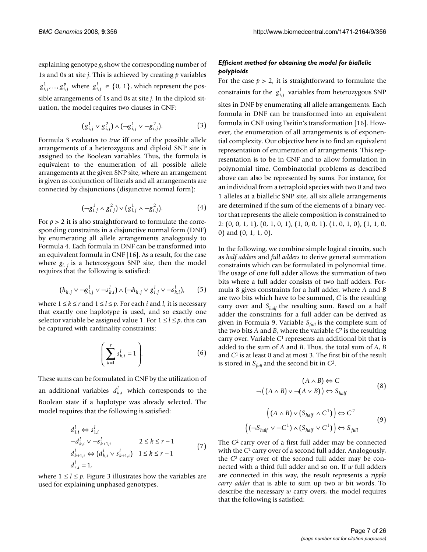explaining genotype *gi* show the corresponding number of 1s and 0s at site *j*. This is achieved by creating *p* variables  $g_{i,j}^1, ..., g_{i,j}^p$  where  $g_{i,j}^l \in \{0, 1\}$ , which represent the possible arrangements of 1s and 0s at site *j*. In the diploid situation, the model requires two clauses in CNF:

$$
(g_{i,j}^1 \vee g_{i,j}^2) \wedge (\neg g_{i,j}^1 \vee \neg g_{i,j}^2). \qquad (3)
$$

Formula 3 evaluates to *true* iff one of the possible allele arrangements of a heterozygous and diploid SNP site is assigned to the Boolean variables. Thus, the formula is equivalent to the enumeration of all possible allele arrangements at the given SNP site, where an arrangement is given as conjunction of literals and all arrangements are connected by disjunctions (disjunctive normal form):

$$
(\neg g_{i,j}^1 \land g_{i,j}^2) \lor (g_{i,j}^1 \land \neg g_{i,j}^2).
$$
 (4)

For  $p > 2$  it is also straightforward to formulate the corresponding constraints in a disjunctive normal form (DNF) by enumerating all allele arrangements analogously to Formula 4. Each formula in DNF can be transformed into an equivalent formula in CNF [16]. As a result, for the case where  $g_{i, j}$  is a heterozygous SNP site, then the model requires that the following is satisfied:

$$
(h_{k,j} \vee \neg g_{i,j}^l \vee \neg s_{k,i}^l) \wedge (\neg h_{k,j} \vee g_{i,j}^l \vee \neg s_{k,i}^l), \qquad (5)
$$

where  $1 \leq k \leq r$  and  $1 \leq l \leq p$ . For each *i* and *l<sub>i</sub>* it is necessary that exactly one haplotype is used, and so exactly one selector variable be assigned value 1. For  $1 \le l \le p$ , this can be captured with cardinality constraints:

$$
\left(\sum_{k=1}^{r} s_{k,i}^l = 1\right).
$$
 (6)

These sums can be formulated in CNF by the utilization of an additional variables  $d_{k,i}^l$  which corresponds to the Boolean state if a haplotype was already selected. The model requires that the following is satisfied:

$$
d_{1,i}^l \Leftrightarrow s_{1,i}^l
$$
  
\n
$$
\neg d_{k,i}^l \lor \neg s_{k+1,i}^l \qquad 2 \le k \le r-1
$$
  
\n
$$
d_{k+1,i}^l \Leftrightarrow (d_{k,i}^l \lor s_{k+1,i}^l) \quad 1 \le k \le r-1
$$
  
\n
$$
d_{r,i}^l = 1,
$$
\n(7)

where  $1 \leq l \leq p$ . Figure 3 illustrates how the variables are used for explaining unphased genotypes.

#### *Efficient method for obtaining the model for biallelic polyploids*

For the case  $p > 2$ , it is straightforward to formulate the constraints for the  $g_{i,j}^l$  variables from heterozygous SNP sites in DNF by enumerating all allele arrangements. Each formula in DNF can be transformed into an equivalent formula in CNF using Tseitin's transformation [16]. However, the enumeration of all arrangements is of exponential complexity. Our objective here is to find an equivalent representation of enumeration of arrangements. This representation is to be in CNF and to allow formulation in polynomial time. Combinatorial problems as described above can also be represented by sums. For instance, for an individual from a tetraploid species with two 0 and two 1 alleles at a biallelic SNP site, all six allele arrangements are determined if the sum of the elements of a binary vector that represents the allele composition is constrained to 2: (0, 0, 1, 1), (0, 1, 0, 1), (1, 0, 0, 1), (1, 0, 1, 0), (1, 1, 0, 0) and (0, 1, 1, 0).

In the following, we combine simple logical circuits, such as *half adders* and *full adders* to derive general summation constraints which can be formulated in polynomial time. The usage of one full adder allows the summation of two bits where a full adder consists of two half adders. Formula 8 gives constraints for a half adder, where *A* and *B* are two bits which have to be summed, *C* is the resulting carry over and *Shalf* the resulting sum. Based on a half adder the constraints for a full adder can be derived as given in Formula 9. Variable *S<sub>full</sub>* is the complete sum of the two bits *A* and *B*, where the variable *C*2 is the resulting carry over. Variable *C*1 represents an additional bit that is added to the sum of *A* and *B*. Thus, the total sum of *A*, *B* and *C*1 is at least 0 and at most 3. The first bit of the result is stored in *Sfull* and the second bit in *C*2.

$$
(A \wedge B) \Leftrightarrow C
$$
  
\n
$$
\neg((A \wedge B) \vee \neg(A \vee B)) \Leftrightarrow S_{half}
$$
 (8)

$$
\left( (A \wedge B) \vee (S_{half} \wedge C^1) \right) \Leftrightarrow C^2
$$
  

$$
\left( (-S_{half} \vee -C^1) \wedge (S_{half} \vee C^1) \right) \Leftrightarrow S_{full}
$$
 (9)

The *C*2 carry over of a first full adder may be connected with the *C*1 carry over of a second full adder. Analogously, the *C*2 carry over of the second full adder may be connected with a third full adder and so on. If *w* full adders are connected in this way, the result represents a *ripple carry adder* that is able to sum up two *w* bit words. To describe the necessary *w* carry overs, the model requires that the following is satisfied: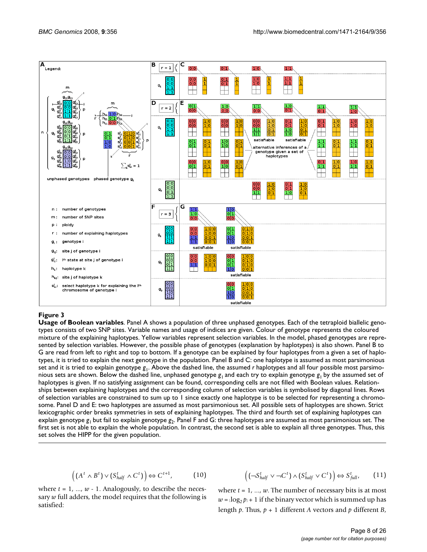

**Usage of Boolean variables**. Panel A shows a population of three unphased genotypes. Each of the tetraploid biallelic genotypes consists of two SNP sites. Variable names and usage of indices are given. Colour of genotype represents the coloured mixture of the explaining haplotypes. Yellow variables represent selection variables. In the model, phased genotypes are represented by selection variables. However, the possible phase of genotypes (explanation by haplotypes) is also shown. Panel B to G are read from left to right and top to bottom. If a genotype can be explained by four haplotypes from a given a set of haplotypes, it is tried to explain the next genotype in the population. Panel B and C: one haplotype is assumed as most parsimonious set and it is tried to explain genotype  $g_1$ . Above the dashed line, the assumed *r* haplotypes and all four possible most parsimonious sets are shown. Below the dashed line, unphased genotype *g*1 and each try to explain genotype *g*1 by the assumed set of haplotypes is given. If no satisfying assignment can be found, corresponding cells are not filled with Boolean values. Relationships between explaining haplotypes and the corresponding column of selection variables is symbolised by diagonal lines. Rows of selection variables are constrained to sum up to 1 since exactly one haplotype is to be selected for representing a chromosome. Panel D and E: two haplotypes are assumed as most parsimonious set. All possible sets of haplotypes are shown. Strict lexicographic order breaks symmetries in sets of explaining haplotypes. The third and fourth set of explaining haplotypes can explain genotype *g*1 but fail to explain genotype *g*2. Panel F and G: three haplotypes are assumed as most parsimonious set. The first set is not able to explain the whole population. In contrast, the second set is able to explain all three genotypes. Thus, this set solves the HIPP for the given population.

$$
\left( \left( A^t \wedge B^t \right) \vee \left( S^t_{half} \wedge C^t \right) \right) \Leftrightarrow C^{t+1}, \tag{10} \qquad \qquad \left( \left( \neg S^t_{half} \vee \neg C^t \right) \wedge \left( S^t_{half} \vee C^t \right) \right) \Leftrightarrow S^t_{full},
$$

where  $t = 1, ..., w - 1$ . Analogously, to describe the necessary *w* full adders, the model requires that the following is satisfied:

$$
\left( \left( \neg S_{half}^t \vee \neg C^t \right) \wedge \left( S_{half}^t \vee C^t \right) \right) \Leftrightarrow S_{full}^t, \qquad (11)
$$

where  $t = 1, ..., w$ . The number of necessary bits is at most  $w = \log_2 p_1 + 1$  if the binary vector which is summed up has length *p*. Thus, *p* + 1 different *A* vectors and *p* different *B*,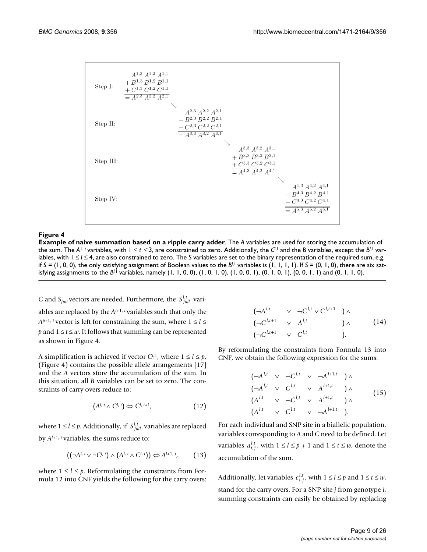

**Example of naive summation based on a ripple carry adder**. The *A* variables are used for storing the accumulation of the sum. The  $A^{1, t}$  variables, with  $1 \le t \le 3$ , are constrained to zero. Additionally, the  $C^{1, 1}$  and the *B* variables, except the  $B^{1, 1}$  variables, with 1 ≤ *l* ≤ 4, are also constrained to zero. The *S* variables are set to the binary representation of the required sum, e.g. if  $S = (1, 0, 0)$ , the only satisfying assignment of Boolean values to the  $B<sup>1</sup>$  variables is  $(1, 1, 1, 1)$ . If  $S = (0, 1, 0)$ , there are six satisfying assignments to the *B*<sup>[,]</sup> variables, namely (1, 1, 0, 0), (1, 0, 1, 0), (1, 0, 0, 1), (0, 1, 1, 0, 1, 0, 0, 0, 1, 1, 1, 0, 1, 1, 0,

*C* and  $S_{full}$  vectors are needed. Furthermore, the  $S_{full}^{l,t}$  variables are replaced by the *Al*+1, *<sup>t</sup>*variables such that only the *A*<sup> $p+1$ , *t*</sup> vector is left for constraining the sum, where  $1 \le l \le$ *p* and  $1 \le t \le w$ . It follows that summing can be represented as shown in Figure 4.

A simplification is achieved if vector  $C^{l,1}$ , where  $1 \le l \le p$ , (Figure 4) contains the possible allele arrangements [17] and the *A* vectors store the accumulation of the sum. In this situation, all *B* variables can be set to zero. The constraints of carry overs reduce to:

$$
(A^{l, t} \wedge C^{l, t}) \Leftrightarrow C^{l, t+1}, \tag{12}
$$

where  $1 \leq l \leq p$ . Additionally, if  $S_{\text{full}}^{l,t}$  variables are replaced by *Al*+1, *<sup>t</sup>*variables, the sums reduce to:

$$
\left( \left( \neg A^{l, t} \vee \neg C^{l, t} \right) \wedge \left( A^{l, t} \wedge C^{l, t} \right) \right) \Leftrightarrow A^{l+1, t}, \tag{13}
$$

where  $1 \le l \le p$ . Reformulating the constraints from Formula 12 into CNF yields the following for the carry overs:

$$
(\neg A^{l,t} \lor \neg C^{l,t} \lor C^{l,t+1}) \land (\neg C^{l,t+1} \lor A^{l,t} ) \land (\neg C^{l,t+1} \lor C^{l,t} ). \tag{14}
$$

By reformulating the constraints from Formula 13 into CNF, we obtain the following expression for the sums:

$$
(\neg A^{l,t} \lor \neg C^{l,t} \lor \neg A^{l+1,t}) \land (\neg A^{l,t} \lor C^{l,t} \lor A^{l+1,t}) \land (A^{l,t} \lor \neg C^{l,t} \lor A^{l+1,t}) \land (A^{l,t} \lor C^{l,t} \lor \neg A^{l+1,t}).
$$
 (15)

For each individual and SNP site in a biallelic population, variables corresponding to *A* and *C* need to be defined. Let variables  $a_{i,j}^{l,t}$ , with  $1 \le l \le p + 1$  and  $1 \le t \le w$ , denote the accumulation of the sum.

Additionally, let variables  $c_{i,j}^{l,t}$ , with  $1 \le l \le p$  and  $1 \le t \le w$ , stand for the carry overs. For a SNP site *j* from genotype *i*, summing constraints can easily be obtained by replacing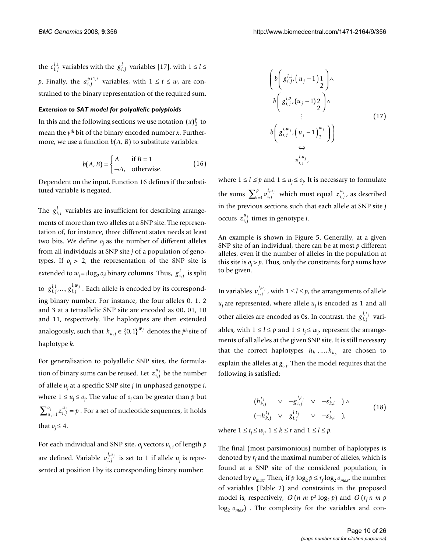the  $c_{i,j}^{l,1}$  variables with the  $g_{i,j}^l$  variables [17], with  $1 \le l \le l$ *p*. Finally, the  $a_{i,j}^{p+1,t}$  variables, with  $1 \le t \le w$ , are constrained to the binary representation of the required sum.

#### *Extension to SAT model for polyallelic polyploids*

In this and the following sections we use notation  $(x)_2^y$  to mean the *yth* bit of the binary encoded number *x*. Furthermore, we use a function  $b(A, B)$  to substitute variables:

$$
b(A, B) = \begin{cases} A & \text{if } B = 1\\ -A, & \text{otherwise.} \end{cases}
$$
 (16)

Dependent on the input, Function 16 defines if the substituted variable is negated.

The  $g_{i,j}^l$  variables are insufficient for describing arrangements of more than two alleles at a SNP site. The representation of, for instance, three different states needs at least two bits. We define  $o_i$  as the number of different alleles from all individuals at SNP site *j* of a population of genotypes. If  $o_i > 2$ , the representation of the SNP site is extended to  $w_j = \log_2 o_j$  binary columns. Thus,  $g_{i,j}^l$  is split to  $g_{i,j}^{l,1},...,g_{i,j}^{l,w_j}$  . Each allele is encoded by its corresponding binary number. For instance, the four alleles 0, 1, 2 and 3 at a tetraallelic SNP site are encoded as 00, 01, 10 and 11, respectively. The haplotypes are then extended analogously, such that  $h_{k,j} \in \{0,1\}^{w_j}$  denotes the *j<sup>th</sup>* site of haplotype *k*.

For generalisation to polyallelic SNP sites, the formulation of binary sums can be reused. Let  $z_{i,j}^{u_j}$  be the number of allele *uj* at a specific SNP site *j* in unphased genotype *i*, where  $1 \le u_j \le o_j$ . The value of  $o_j$  can be greater than  $p$  but  $z_{i,j}^{u_j} = p$  . For a set of nucleotide sequences, it holds that  $o_i \leq 4$ . *u*  $\sigma_j$   $\sigma_i$ *j*  $\sum_{u_i=1}^{o_j} z_{i,j}^{u_j} =$ 

For each individual and SNP site,  $o_j$  vectors  $v_{i,j}$  of length  $p$ are defined. Variable  $v_{i,j}^{l,u_j}$  is set to 1 if allele  $u_j$  is represented at position *l* by its corresponding binary number: ,

$$
\left(b\left(g_{i,j}^{l,1},(u_j-1)\underset{2}{\underset{1}{\underset{1}{\big|}}}\right)\wedge
$$
\n
$$
b\left(g_{i,j}^{l,2},(u_j-1)\underset{2}{\underset{2}{\big|}}\right)\wedge
$$
\n
$$
\vdots
$$
\n
$$
b\left(g_{i,j}^{l,w_j},(u_j-1)\underset{2}{\overset{w_j}{\big|}})\right)
$$
\n
$$
\Leftrightarrow
$$
\n
$$
v_{i,j}^{l,u_j},
$$
\n(17)

where  $1 \leq l \leq p$  and  $1 \leq u_j \leq o_j$ . It is necessary to formulate the sums  $\sum_{l=1}^{p} v_{i,j}^{l,u_j}$  which must equal  $z_{i,j}^{u_j}$ , as described in the previous sections such that each allele at SNP site *j* occurs  $z_{i,j}^{u_j}$  times in genotype *i*. *l*  $_{l=1}^{p} v_{i,j}^{l,u}$  $\sum_{l=1}^{p} v_{i,j}^{l,u_j}$  which must equal  $z_{i,j}^{u_j}$ 

An example is shown in Figure 5. Generally, at a given SNP site of an individual, there can be at most *p* different alleles, even if the number of alleles in the population at this site is  $\rho_i$  >  $p$ . Thus, only the constraints for  $p$  sums have to be given.

In variables  $v_{i,j}^{l,u_j}$  , with  $1 \leq l \leq p$ , the arrangements of allele  $u_i$  are represented, where allele  $u_i$  is encoded as 1 and all other alleles are encoded as 0s. In contrast, the  $g_{i,j}^{l,t_j}$  variables, with  $1 \leq l \leq p$  and  $1 \leq t_j \leq w_j$ , represent the arrangements of all alleles at the given SNP site. It is still necessary that the correct haplotypes  $h_{k_1},...,h_{k_p}$  are chosen to explain the alleles at *gi*, *<sup>j</sup>* . Then the model requires that the following is satisfied: , ,

$$
(h_{k,j}^{t_j} \vee \neg g_{i,j}^{l,t_j} \vee \neg s_{k,i}^l) \wedge
$$
  
\n
$$
(\neg h_{k,j}^{t_j} \vee g_{i,j}^{l,t_j} \vee \neg s_{k,i}^l),
$$
\n(18)

where  $1 \le t_j \le w_{j'}$ ,  $1 \le k \le r$  and  $1 \le l \le p$ .

The final (most parsimonious) number of haplotypes is denoted by  $r_f$  and the maximal number of alleles, which is found at a SNP site of the considered population, is denoted by  $o_{max}$ . Then, if  $p \log_2 p \leq r_f \log_2 o_{max}$ , the number of variables (Table 2) and constraints in the proposed model is, respectively,  $O(n \ m \ p^2 \log_2 p)$  and  $O(r_f n \ m \ p)$ log<sub>2</sub>  $o_{max}$ ). The complexity for the variables and con-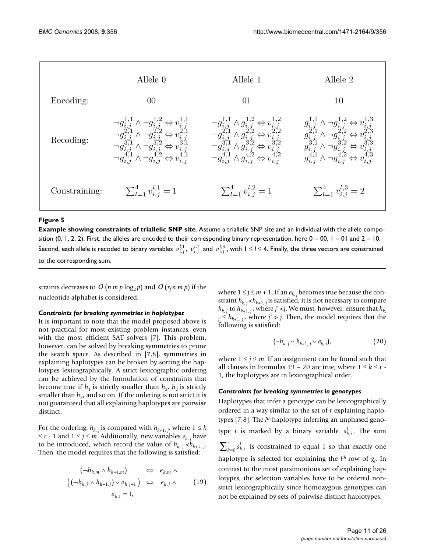

**Example showing constraints of triallelic SNP site**. Assume a triallelic SNP site and an individual with the allele composition (0, 1, 2, 2). First, the alleles are encoded to their corresponding binary representation, here  $0 = 00$ ,  $1 = 01$  and  $2 = 10$ . Second, each allele is recoded to binary variables  $v_{i,j}^{l,1},~v_{i,j}^{l,2}$  and  $v_{i,j}^{l,3}$  , with  $1\leq l\leq4.$  Finally, the three vectors are constrained to the corresponding sum.

straints decreases to  $O$  ( $n$   $m$   $p$   $\log_2 p$ ) and  $O$  ( $r_f n$   $m$   $p$ ) if the nucleotide alphabet is considered.

#### *Constraints for breaking symmetries in haplotypes*

It is important to note that the model proposed above is not practical for most existing problem instances, even with the most efficient SAT solvers [7]. This problem, however, can be solved by breaking symmetries to prune the search space. As described in [7,8], symmetries in explaining haplotypes can be broken by sorting the haplotypes lexicographically. A strict lexicographic ordering can be achieved by the formulation of constraints that become true if  $h_1$  is strictly smaller than  $h_2$ ,  $h_2$  is strictly smaller than  $h_3$ , and so on. If the ordering is not strict it is not guaranteed that all explaining haplotypes are pairwise distinct.

For the ordering,  $h_{k,j}$  is compared with  $h_{k+1,j}$ , where  $1 \leq k$ ≤ *r* - 1 and  $1 ≤ j ≤ m$ . Additionally, new variables  $e_{k,j}$  have to be introduced, which record the value of  $h_{k, j} < h_{k+1, j}$ . Then, the model requires that the following is satisfied:

$$
(-h_{k,m} \wedge h_{k+1,m}) \qquad \Leftrightarrow \qquad e_{k,m} \wedge
$$

$$
((-h_{k,j} \wedge h_{k+1,j}) \vee e_{k,j+1}) \qquad \Leftrightarrow \qquad e_{k,j} \wedge \qquad (19)
$$

$$
e_{k,1} = 1,
$$

where  $1 \le j \le m + 1$ . If an  $e_{k,j}$  becomes true because the constraint  $h_{k, j} < h_{k+1, j}$  is satisfied, it is not necessary to compare  $h_{k,\,j}$  to  $h_{k+1,\,j'}$  where  $j'$  < *j*. We must, however, ensure that  $h_{k,\,j}$  $j' \leq h_{k+1, j'}$ , where *j'* > *j*. Then, the model requires that the following is satisfied:

$$
(\neg h_{k,j} \lor h_{k+1,j} \lor e_{k,j}), \qquad (20)
$$

where  $1 \leq j \leq m$ . If an assignment can be found such that all clauses in Formulas 19 – 20 are true, where  $1 \leq k \leq r$  -1, the haplotypes are in lexicographical order.

#### *Constraints for breaking symmetries in genotypes*

Haplotypes that infer a genotype can be lexicographically ordered in a way similar to the set of *r* explaining haplotypes [7,8]. The *lth* haplotype inferring an unphased genotype *i* is marked by a binary variable  $s_{k,i}^l$ . The sum  $s_{k,i}^l$  is constrained to equal 1 so that exactly one haplotype is selected for explaining the *lth* row of *gi* . In contrast to the most parsimonious set of explaining haplotypes, the selection variables have to be ordered nonstrict lexicographically since homozygous genotypes can not be explained by sets of pairwise distinct haplotypes. *k*  $\sum_{k=0}^r s_k^l$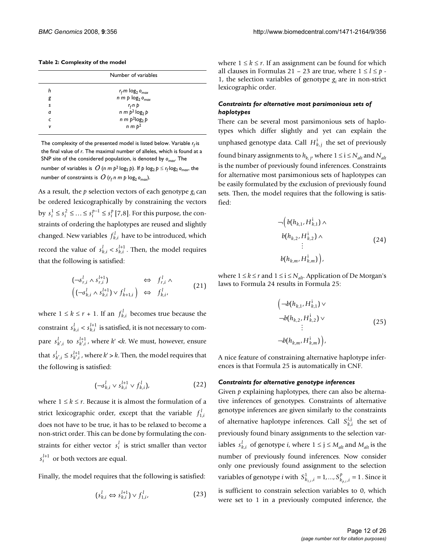#### **Table 2: Complexity of the model**

|   | Number of variables      |  |
|---|--------------------------|--|
| h | $r_f m \log_2 o_{max}$   |  |
| g | n m p $log_2 o_{max}$    |  |
| s | $r_f n p$                |  |
| a | $n \dot{m} p^2 \log_2 p$ |  |
| C | $n m p^2 \log_2 p$       |  |
| ٧ | n m p <sup>2</sup>       |  |
|   |                          |  |

The complexity of the presented model is listed below. Variable  $r_f$  is the final value of *r*. The maximal number of alleles, which is found at a SNP site of the considered population, is denoted by *omax*. The number of variables is  $O$  (n m  $p^2 \log_2 p$ ). If  $p \log_2 p \leq r_f \log_2 o_{max}$ , the number of constraints is  $O$  ( $r_f$  *n m <code>p</code> log<sub>2</sub>*  $o_{max}$ *).* 

As a result, the *p* selection vectors of each genotype *gi* can be ordered lexicographically by constraining the vectors by  $s_i^1 \le s_i^2 \le \dots \le s_i^{p-1} \le s_i^p [7,8]$ . For this purpose, the constraints of ordering the haplotypes are reused and slightly changed. New variables  $f_{k,i}^l$  have to be introduced, which record the value of  $s_{k,i}^l < s_{k,i}^{l+1}$ . Then, the model requires that the following is satisfied:

$$
\begin{aligned}\n &\left(-s_{r,i}^l \wedge s_{r,i}^{l+1}\right) \qquad \Leftrightarrow \quad f_{r,i}^l \wedge \\
 &\left((-s_{k,i}^l \wedge s_{k,i}^{l+1}) \vee f_{k+1,i}^l\right) \qquad \Leftrightarrow \quad f_{k,i}^l,\n \end{aligned}\n \tag{21}
$$

where  $1 \leq k \leq r + 1$ . If an  $f_{k,i}^l$  becomes true because the constraint  $s_{k,i}^l < s_{k,i}^{l+1}$  is satisfied, it is not necessary to compare  $s_{k',i}^l$  to  $s_{k',i}^{l+1}$ , where  $k' < k$ . We must, however, ensure that  $s_{k',i}^l \leq s_{k',i}^{l+1}$ , where  $k' > k$ . Then, the model requires that the following is satisfied:

$$
(-s_{k,i}^l \vee s_{k,i}^{l+1} \vee f_{k,i}^l), \qquad (22)
$$

where  $1 \leq k \leq r$ . Because it is almost the formulation of a strict lexicographic order, except that the variable  $f_{1,i}^l$ does not have to be true, it has to be relaxed to become a non-strict order. This can be done by formulating the constraints for either vector  $s_i^l$  is strict smaller than vector  $s_i^{l+1}$  or both vectors are equal.

Finally, the model requires that the following is satisfied:

$$
(s_{k,i}^l \Leftrightarrow s_{k,i}^{l+1}) \vee f_{1,i'}^l \tag{23}
$$

where  $1 \leq k \leq r$ . If an assignment can be found for which all clauses in Formulas 21 – 23 are true, where  $1 \le l \le p$ . 1, the selection variables of genotype *gi* are in non-strict lexicographic order.

#### *Constraints for alternative most parsimonious sets of haplotypes*

There can be several most parsimonious sets of haplotypes which differ slightly and yet can explain the unphased genotype data. Call  $H_{k,j}^i$  the set of previously found binary assignments to  $h_{k, j'}$  where  $1 \le i \le N_{alt}$  and  $N_{alt}$ is the number of previously found inferences. Constraints for alternative most parsimonious sets of haplotypes can be easily formulated by the exclusion of previously found sets. Then, the model requires that the following is satisfied:

$$
\neg (b(h_{k,1}, H_{k,1}^1) \land b(h_{k,2}, H_{k,2}^1) \land \vdots
$$
\n
$$
b(h_{k,m}, H_{k,m}^1)),
$$
\n(24)

where  $1 \le k \le r$  and  $1 \le i \le N_{alt}$ . Application of De Morgan's laws to Formula 24 results in Formula 25:

$$
\left(-b(h_{k,1}, H_{k,1}^{\mathbf{i}}) \vee\right.\n-b(h_{k,2}, H_{k,2}^{\mathbf{i}}) \vee\n\vdots\n-b(h_{k,m}, H_{k,m}^{\mathbf{i}})\right),
$$
\n(25)

A nice feature of constraining alternative haplotype inferences is that Formula 25 is automatically in CNF.

# *Constraints for alternative genotype inferences*

Given *p* explaining haplotypes, there can also be alternative inferences of genotypes. Constraints of alternative genotype inferences are given similarly to the constraints of alternative haplotype inferences. Call  $S_{k,i}^{l,j}$  the set of previously found binary assignments to the selection variables  $s_{k,i}^l$  of genotype *i*, where  $1 \le j \le M_{alt}$  and  $M_{alt}$  is the number of previously found inferences. Now consider only one previously found assignment to the selection variables of genotype *i* with  $S^1_{k_{1,i},i} = 1, ..., S^p_{k_{n,i},i} = 1$ . Since it is sufficient to constrain selection variables to 0, which were set to 1 in a previously computed inference, the  $\frac{1}{k_{1,i},i} = 1, ..., S_{k_{p,i},i}^p = 1$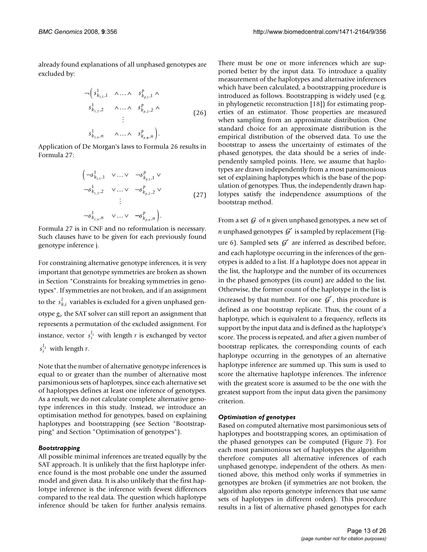already found explanations of all unphased genotypes are excluded by:

$$
\neg \left( s_{k_{1,1},1}^1 \wedge \dots \wedge s_{k_{p,1},1}^p \wedge \right.\n \left. s_{k_{1,2},2}^1 \wedge \dots \wedge s_{k_{p,2},2}^p \wedge \right.\n \vdots
$$
\n
$$
s_{k_{1,n},n}^1 \wedge \dots \wedge s_{k_{p,n},n}^p \right).
$$
\n(26)

Application of De Morgan's laws to Formula 26 results in Formula 27:

$$
\begin{aligned}\n\left(-\mathbf{s}_{k_{1,1},1}^{1} \quad \vee \dots \vee \quad \neg \mathbf{s}_{k_{p,1},1}^{p} \vee \\
\neg \mathbf{s}_{k_{1,2},2}^{1} \quad \vee \dots \vee \quad \neg \mathbf{s}_{k_{p,2},2}^{p} \vee \\
&\vdots\n\end{aligned}
$$
\n
$$
\neg \mathbf{s}_{k_{1,n},n}^{1} \quad \vee \dots \vee \quad \neg \mathbf{s}_{k_{p,n},n}^{p}\n\right).
$$
\n(27)

Formula 27 is in CNF and no reformulation is necessary. Such clauses have to be given for each previously found genotype inference j.

For constraining alternative genotype inferences, it is very important that genotype symmetries are broken as shown in Section "Constraints for breaking symmetries in genotypes". If symmetries are not broken, and if an assignment to the  $s_{k,i}^l$  variables is excluded for a given unphased genotype *gi* , the SAT solver can still report an assignment that represents a permutation of the excluded assignment. For instance, vector  $s_i^{l_1}$  with length *r* is exchanged by vector  $s_i^{l_2}$  with length *r*.

Note that the number of alternative genotype inferences is equal to or greater than the number of alternative most parsimonious sets of haplotypes, since each alternative set of haplotypes defines at least one inference of genotypes. As a result, we do not calculate complete alternative genotype inferences in this study. Instead, we introduce an optimisation method for genotypes, based on explaining haplotypes and bootstrapping (see Section "Bootstrapping" and Section "Optimisation of genotypes").

#### *Bootstrapping*

All possible minimal inferences are treated equally by the SAT approach. It is unlikely that the first haplotype inference found is the most probable one under the assumed model and given data. It is also unlikely that the first haplotype inference is the inference with fewest differences compared to the real data. The question which haplotype inference should be taken for further analysis remains.

There must be one or more inferences which are supported better by the input data. To introduce a quality measurement of the haplotypes and alternative inferences which have been calculated, a bootstrapping procedure is introduced as follows. Bootstrapping is widely used (e.g. in phylogenetic reconstruction [18]) for estimating properties of an estimator. Those properties are measured when sampling from an approximate distribution. One standard choice for an approximate distribution is the empirical distribution of the observed data. To use the bootstrap to assess the uncertainty of estimates of the phased genotypes, the data should be a series of independently sampled points. Here, we assume that haplotypes are drawn independently from a most parsimonious set of explaining haplotypes which is the base of the population of genotypes. Thus, the independently drawn haplotypes satisfy the independence assumptions of the bootstrap method.

From a set  $\mathcal G$  of *n* given unphased genotypes, a new set of *n* unphased genotypes  $\mathcal{G}'$  is sampled by replacement (Figure 6). Sampled sets  $G'$  are inferred as described before, and each haplotype occurring in the inferences of the genotypes is added to a list. If a haplotype does not appear in the list, the haplotype and the number of its occurrences in the phased genotypes (its count) are added to the list. Otherwise, the former count of the haplotype in the list is increased by that number. For one  $G'$ , this procedure is defined as one bootstrap replicate. Thus, the count of a haplotype, which is equivalent to a frequency, reflects its support by the input data and is defined as the haplotype's score. The process is repeated, and after a given number of bootstrap replicates, the corresponding counts of each haplotype occurring in the genotypes of an alternative haplotype inference are summed up. This sum is used to score the alternative haplotype inferences. The inference with the greatest score is assumed to be the one with the greatest support from the input data given the parsimony criterion.

#### *Optimisation of genotypes*

Based on computed alternative most parsimonious sets of haplotypes and bootstrapping scores, an optimisation of the phased genotypes can be computed (Figure 7). For each most parsimonious set of haplotypes the algorithm therefore computes all alternative inferences of each unphased genotype, independent of the others. As mentioned above, this method only works if symmetries in genotypes are broken (if symmetries are not broken, the algorithm also reports genotype inferences that use same sets of haplotypes in different orders). This procedure results in a list of alternative phased genotypes for each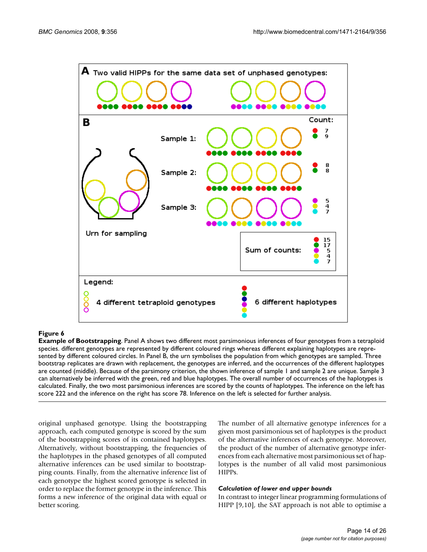

**Example of Bootstrapping**. Panel A shows two different most parsimonious inferences of four genotypes from a tetraploid species. different genotypes are represented by different coloured rings whereas different explaining haplotypes are represented by different coloured circles. In Panel B, the urn symbolises the population from which genotypes are sampled. Three bootstrap replicates are drawn with replacement, the genotypes are inferred, and the occurrences of the different haplotypes are counted (middle). Because of the parsimony criterion, the shown inference of sample 1 and sample 2 are unique. Sample 3 can alternatively be inferred with the green, red and blue haplotypes. The overall number of occurrences of the haplotypes is calculated. Finally, the two most parsimonious inferences are scored by the counts of haplotypes. The inference on the left has score 222 and the inference on the right has score 78. Inference on the left is selected for further analysis.

original unphased genotype. Using the bootstrapping approach, each computed genotype is scored by the sum of the bootstrapping scores of its contained haplotypes. Alternatively, without bootstrapping, the frequencies of the haplotypes in the phased genotypes of all computed alternative inferences can be used similar to bootstrapping counts. Finally, from the alternative inference list of each genotype the highest scored genotype is selected in order to replace the former genotype in the inference. This forms a new inference of the original data with equal or better scoring.

The number of all alternative genotype inferences for a given most parsimonious set of haplotypes is the product of the alternative inferences of each genotype. Moreover, the product of the number of alternative genotype inferences from each alternative most parsimonious set of haplotypes is the number of all valid most parsimonious HIPPs.

#### *Calculation of lower and upper bounds*

In contrast to integer linear programming formulations of HIPP [9,10], the SAT approach is not able to optimise a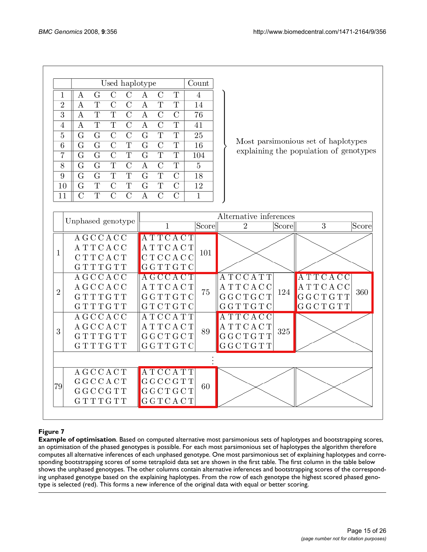

**Example of optimisation**. Based on computed alternative most parsimonious sets of haplotypes and bootstrapping scores, an optimisation of the phased genotypes is possible. For each most parsimonious set of haplotypes the algorithm therefore computes all alternative inferences of each unphased genotype. One most parsimonious set of explaining haplotypes and corresponding bootstrapping scores of some tetraploid data set are shown in the first table. The first column in the table below shows the unphased genotypes. The other columns contain alternative inferences and bootstrapping scores of the corresponding unphased genotype based on the explaining haplotypes. From the row of each genotype the highest scored phased genotype is selected (red). This forms a new inference of the original data with equal or better scoring.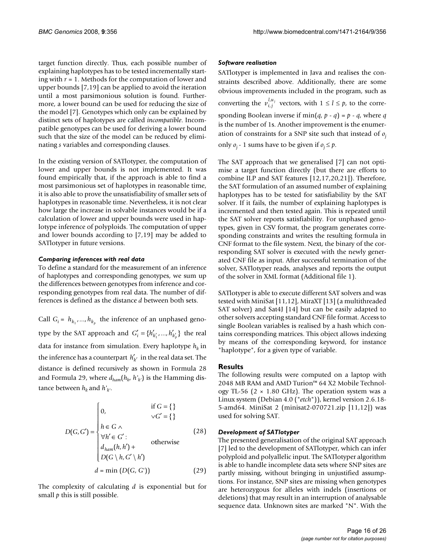target function directly. Thus, each possible number of explaining haplotypes has to be tested incrementally starting with *r* = 1. Methods for the computation of lower and upper bounds [7,19] can be applied to avoid the iteration until a most parsimonious solution is found. Furthermore, a lower bound can be used for reducing the size of the model [7]. Genotypes which only can be explained by distinct sets of haplotypes are called *incompatible*. Incompatible genotypes can be used for deriving a lower bound such that the size of the model can be reduced by eliminating *s* variables and corresponding clauses.

In the existing version of SATlotyper, the computation of lower and upper bounds is not implemented. It was found empirically that, if the approach is able to find a most parsimonious set of haplotypes in reasonable time, it is also able to prove the unsatisfiability of smaller sets of haplotypes in reasonable time. Nevertheless, it is not clear how large the increase in solvable instances would be if a calculation of lower and upper bounds were used in haplotype inference of polyploids. The computation of upper and lower bounds according to [7,19] may be added to SATlotyper in future versions.

# *Comparing inferences with real data*

To define a standard for the measurement of an inference of haplotypes and corresponding genotypes, we sum up the differences between genotypes from inference and corresponding genotypes from real data. The number of differences is defined as the distance *d* between both sets.

Call  $G_i = h_{k_1},..., h_{k_p}$  the inference of an unphased genotype by the SAT approach and  $G'_{i} = \{h'_{k'_{1}}, ..., h'_{k'_{p}}\}$  the real data for instance from simulation. Every haplotype  $h_k$  in the inference has a counterpart  $h'_{k'}$  in the real data set. The distance is defined recursively as shown in Formula 28 and Formula 29, where  $d_{ham}(h_{k}, h'_{k'})$  is the Hamming distance between  $h_k$  and  $h'_{k'}$ .

$$
D(G, G') = \begin{cases} 0, & \text{if } G = \{\} \\ h \in G \land \\ \forall h' \in G' : \\ \forall h' \in G' : \\ d_{ham}(h, h') + \\ D(G \setminus h, G' \setminus h') \\ d = \min (D(G, G')) \end{cases}
$$
 (28)

The complexity of calculating *d* is exponential but for small *p* this is still possible.

# *Software realisation*

SATlotyper is implemented in Java and realises the constraints described above. Additionally, there are some obvious improvements included in the program, such as converting the  $v_{i,j}^{l,u_j}$  vectors, with  $1 \leq l \leq p$ , to the corresponding Boolean inverse if  $min(q, p - q) = p - q$ , where *q* is the number of 1s. Another improvement is the enumeration of constraints for a SNP site such that instead of *oj* only  $o_i$  - 1 sums have to be given if  $o_i \leq p$ . ,

The SAT approach that we generalised [7] can not optimise a target function directly (but there are efforts to combine ILP and SAT features [12,17,20,21]). Therefore, the SAT formulation of an assumed number of explaining haplotypes has to be tested for satisfiability by the SAT solver. If it fails, the number of explaining haplotypes is incremented and then tested again. This is repeated until the SAT solver reports satisfiability. For unphased genotypes, given in CSV format, the program generates corresponding constraints and writes the resulting formula in CNF format to the file system. Next, the binary of the corresponding SAT solver is executed with the newly generated CNF file as input. After successful termination of the solver, SATlotyper reads, analyses and reports the output of the solver in XML format (Additional file 1).

SATlotyper is able to execute different SAT solvers and was tested with MiniSat [11,12], MiraXT [13] (a multithreaded SAT solver) and Sat4J [14] but can be easily adapted to other solvers accepting standard CNF file format. Access to single Boolean variables is realised by a hash which contains corresponding matrices. This object allows indexing by means of the corresponding keyword, for instance "haplotype", for a given type of variable.

# **Results**

The following results were computed on a laptop with 2048 MB RAM and AMD Turion™ 64 X2 Mobile Technology TL-56 ( $2 \times 1.80$  GHz). The operation system was a Linux system (Debian 4.0 ("*etch*")), kernel version 2.6.18- 5-amd64. MiniSat 2 (minisat2-070721.zip [11,12]) was used for solving SAT.

#### *Development of SATlotyper*

The presented generalisation of the original SAT approach [7] led to the development of SATlotyper, which can infer polyploid and polyallelic input. The SATlotyper algorithm is able to handle incomplete data sets where SNP sites are partly missing, without bringing in unjustified assumptions. For instance, SNP sites are missing when genotypes are heterozygous for alleles with indels (insertions or deletions) that may result in an interruption of analysable sequence data. Unknown sites are marked "N". With the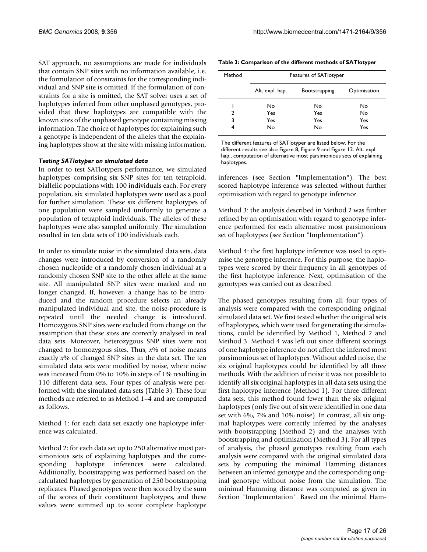SAT approach, no assumptions are made for individuals that contain SNP sites with no information available, i.e. the formulation of constraints for the corresponding individual and SNP site is omitted. If the formulation of constraints for a site is omitted, the SAT solver uses a set of haplotypes inferred from other unphased genotypes, provided that these haplotypes are compatible with the known sites of the unphased genotype containing missing information. The choice of haplotypes for explaining such a genotype is independent of the alleles that the explaining haplotypes show at the site with missing information.

#### *Testing SATlotyper on simulated data*

In order to test SATlotypers performance, we simulated haplotypes comprising six SNP sites for ten tetraploid, biallelic populations with 100 individuals each. For every population, six simulated haplotypes were used as a pool for further simulation. These six different haplotypes of one population were sampled uniformly to generate a population of tetraploid individuals. The alleles of these haplotypes were also sampled uniformly. The simulation resulted in ten data sets of 100 individuals each.

In order to simulate noise in the simulated data sets, data changes were introduced by conversion of a randomly chosen nucleotide of a randomly chosen individual at a randomly chosen SNP site to the other allele at the same site. All manipulated SNP sites were marked and no longer changed. If, however, a change has to be introduced and the random procedure selects an already manipulated individual and site, the noise-procedure is repeated until the needed change is introduced. Homozygous SNP sites were excluded from change on the assumption that these sites are correctly analysed in real data sets. Moreover, heterozygous SNP sites were not changed to homozygous sites. Thus, *x*% of noise means exactly *x*% of changed SNP sites in the data set. The ten simulated data sets were modified by noise, where noise was increased from 0% to 10% in steps of 1% resulting in 110 different data sets. Four types of analysis were performed with the simulated data sets (Table 3). These four methods are referred to as Method 1–4 and are computed as follows.

Method 1: for each data set exactly one haplotype inference was calculated.

Method 2: for each data set up to 250 alternative most parsimonious sets of explaining haplotypes and the corresponding haplotype inferences were calculated. Additionally, bootstrapping was performed based on the calculated haplotypes by generation of 250 bootstrapping replicates. Phased genotypes were then scored by the sum of the scores of their constituent haplotypes, and these values were summed up to score complete haplotype

| Method | Features of SAT lotyper |               |              |  |  |  |  |  |  |
|--------|-------------------------|---------------|--------------|--|--|--|--|--|--|
|        | Alt. expl. hap.         | Bootstrapping | Optimisation |  |  |  |  |  |  |
|        | No                      | No            | No           |  |  |  |  |  |  |
| 2      | Yes                     | Yes           | No           |  |  |  |  |  |  |
| 3      | Yes                     | Yes           | Yes          |  |  |  |  |  |  |
| 4      | No                      | No            | Yes          |  |  |  |  |  |  |

The different features of SATlotyper are listed below. For the different results see also Figure 8, Figure 9 and Figure 12. Alt. expl. hap., computation of alternative most parsimonious sets of explaining haplotypes.

inferences (see Section "Implementation"). The best scored haplotype inference was selected without further optimisation with regard to genotype inference.

Method 3: the analysis described in Method 2 was further refined by an optimisation with regard to genotype inference performed for each alternative most parsimonious set of haplotypes (see Section "Implementation").

Method 4: the first haplotype inference was used to optimise the genotype inference. For this purpose, the haplotypes were scored by their frequency in all genotypes of the first haplotype inference. Next, optimisation of the genotypes was carried out as described.

The phased genotypes resulting from all four types of analysis were compared with the corresponding original simulated data set. We first tested whether the original sets of haplotypes, which were used for generating the simulations, could be identified by Method 1, Method 2 and Method 3. Method 4 was left out since different scorings of one haplotype inference do not affect the inferred most parsimonious set of haplotypes. Without added noise, the six original haplotypes could be identified by all three methods. With the addition of noise it was not possible to identify all six original haplotypes in all data sets using the first haplotype inference (Method 1). For three different data sets, this method found fewer than the six original haplotypes (only five out of six were identified in one data set with 6%, 7% and 10% noise). In contrast, all six original haplotypes were correctly inferred by the analyses with bootstrapping (Method 2) and the analyses with bootstrapping and optimisation (Method 3). For all types of analysis, the phased genotypes resulting from each analysis were compared with the original simulated data sets by computing the minimal Hamming distances between an inferred genotype and the corresponding original genotype without noise from the simulation. The minimal Hamming distance was computed as given in Section "Implementation". Based on the minimal Ham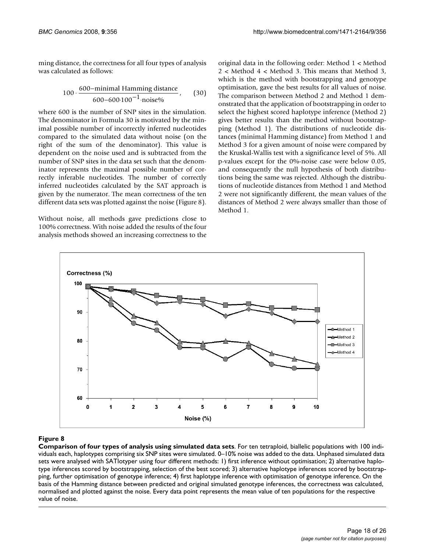ming distance, the correctness for all four types of analysis was calculated as follows:

$$
100 \cdot \frac{600 - \text{minimal Hamming distance}}{600 - 600 \cdot 100^{-1} \cdot \text{noise\%}}\tag{30}
$$

where 600 is the number of SNP sites in the simulation. The denominator in Formula 30 is motivated by the minimal possible number of incorrectly inferred nucleotides compared to the simulated data without noise (on the right of the sum of the denominator). This value is dependent on the noise used and is subtracted from the number of SNP sites in the data set such that the denominator represents the maximal possible number of correctly inferable nucleotides. The number of correctly inferred nucleotides calculated by the SAT approach is given by the numerator. The mean correctness of the ten different data sets was plotted against the noise (Figure 8).

Without noise, all methods gave predictions close to 100% correctness. With noise added the results of the four analysis methods showed an increasing correctness to the original data in the following order: Method 1 < Method 2 < Method 4 < Method 3. This means that Method 3, which is the method with bootstrapping and genotype optimisation, gave the best results for all values of noise. The comparison between Method 2 and Method 1 demonstrated that the application of bootstrapping in order to select the highest scored haplotype inference (Method 2) gives better results than the method without bootstrapping (Method 1). The distributions of nucleotide distances (minimal Hamming distance) from Method 1 and Method 3 for a given amount of noise were compared by the Kruskal-Wallis test with a significance level of 5%. All p-values except for the 0%-noise case were below 0.05, and consequently the null hypothesis of both distributions being the same was rejected. Although the distributions of nucleotide distances from Method 1 and Method 2 were not significantly different, the mean values of the distances of Method 2 were always smaller than those of Method 1.



#### Figure 8

**Comparison of four types of analysis using simulated data sets**. For ten tetraploid, biallelic populations with 100 individuals each, haplotypes comprising six SNP sites were simulated. 0–10% noise was added to the data. Unphased simulated data sets were analysed with SATlotyper using four different methods: 1) first inference without optimisation; 2) alternative haplotype inferences scored by bootstrapping, selection of the best scored; 3) alternative haplotype inferences scored by bootstrapping, further optimisation of genotype inference; 4) first haplotype inference with optimisation of genotype inference. On the basis of the Hamming distance between predicted and original simulated genotype inferences, the correctness was calculated, normalised and plotted against the noise. Every data point represents the mean value of ten populations for the respective value of noise.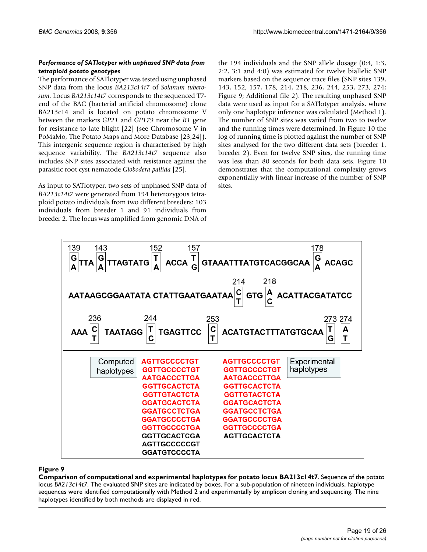#### *Performance of SATlotyper with unphased SNP data from tetraploid potato genotypes*

The performance of SATlotyper was tested using unphased SNP data from the locus *BA213c14t7* of *Solanum tuberosum*. Locus *BA213c14t7* corresponds to the sequenced T7 end of the BAC (bacterial artificial chromosome) clone BA213c14 and is located on potato chromosome V between the markers *GP21* and *GP179* near the *R1* gene for resistance to late blight [22] (see Chromosome V in PoMaMo, The Potato Maps and More Database [23,24]). This intergenic sequence region is characterised by high sequence variability. The *BA213c14t7* sequence also includes SNP sites associated with resistance against the parasitic root cyst nematode *Globodera pallida* [25].

As input to SATlotyper, two sets of unphased SNP data of *BA213c14t7* were generated from 194 heterozygous tetraploid potato individuals from two different breeders: 103 individuals from breeder 1 and 91 individuals from breeder 2. The locus was amplified from genomic DNA of the 194 individuals and the SNP allele dosage (0:4, 1:3, 2:2, 3:1 and 4:0) was estimated for twelve biallelic SNP markers based on the sequence trace files (SNP sites 139, 143, 152, 157, 178, 214, 218, 236, 244, 253, 273, 274; Figure 9; Additional file 2). The resulting unphased SNP data were used as input for a SATlotyper analysis, where only one haplotype inference was calculated (Method 1). The number of SNP sites was varied from two to twelve and the running times were determined. In Figure 10 the log of running time is plotted against the number of SNP sites analysed for the two different data sets (breeder 1, breeder 2). Even for twelve SNP sites, the running time was less than 80 seconds for both data sets. Figure 10 demonstrates that the computational complexity grows exponentially with linear increase of the number of SNP sites.



#### Comparison of computational **Figure 9** and experimental haplotypes for potato locus BA213c14t7

**Comparison of computational and experimental haplotypes for potato locus BA213c14t7**. Sequence of the potato locus *BA213c14t7*. The evaluated SNP sites are indicated by boxes. For a sub-population of nineteen individuals, haplotype sequences were identified computationally with Method 2 and experimentally by amplicon cloning and sequencing. The nine haplotypes identified by both methods are displayed in red.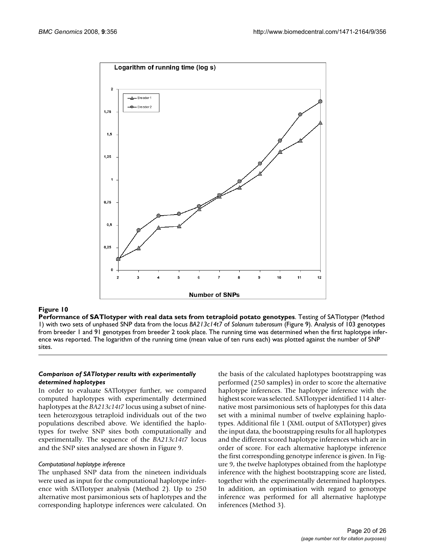

**Performance of SATlotyper with real data sets from tetraploid potato genotypes**. Testing of SATlotyper (Method 1) with two sets of unphased SNP data from the locus *BA213c14t7* of *Solanum tuberosum* (Figure 9). Analysis of 103 genotypes from breeder 1 and 91 genotypes from breeder 2 took place. The running time was determined when the first haplotype inference was reported. The logarithm of the running time (mean value of ten runs each) was plotted against the number of SNP sites.

#### *Comparison of SATlotyper results with experimentally determined haplotypes*

In order to evaluate SATlotyper further, we compared computed haplotypes with experimentally determined haplotypes at the *BA213c14t7* locus using a subset of nineteen heterozygous tetraploid individuals out of the two populations described above. We identified the haplotypes for twelve SNP sites both computationally and experimentally. The sequence of the *BA213c14t7* locus and the SNP sites analysed are shown in Figure 9.

#### *Computational haplotype inference*

The unphased SNP data from the nineteen individuals were used as input for the computational haplotype inference with SATlotyper analysis (Method 2). Up to 250 alternative most parsimonious sets of haplotypes and the corresponding haplotype inferences were calculated. On the basis of the calculated haplotypes bootstrapping was performed (250 samples) in order to score the alternative haplotype inferences. The haplotype inference with the highest score was selected. SATlotyper identified 114 alternative most parsimonious sets of haplotypes for this data set with a minimal number of twelve explaining haplotypes. Additional file 1 (XML output of SATlotyper) gives the input data, the bootstrapping results for all haplotypes and the different scored haplotype inferences which are in order of score. For each alternative haplotype inference the first corresponding genotype inference is given. In Figure 9, the twelve haplotypes obtained from the haplotype inference with the highest bootstrapping score are listed, together with the experimentally determined haplotypes. In addition, an optimisation with regard to genotype inference was performed for all alternative haplotype inferences (Method 3).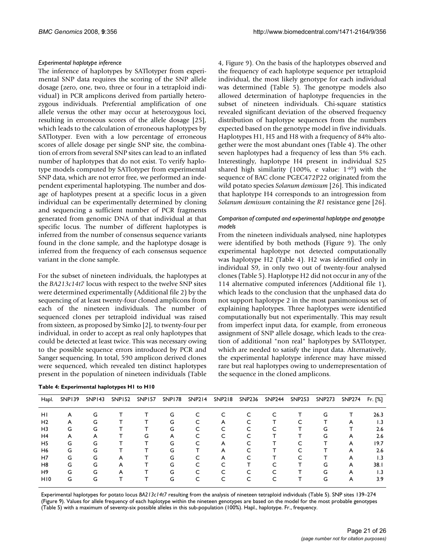#### *Experimental haplotype inference*

The inference of haplotypes by SATlotyper from experimental SNP data requires the scoring of the SNP allele dosage (zero, one, two, three or four in a tetraploid individual) in PCR amplicons derived from partially heterozygous individuals. Preferential amplification of one allele versus the other may occur at heterozygous loci, resulting in erroneous scores of the allele dosage [25], which leads to the calculation of erroneous haplotypes by SATlotyper. Even with a low percentage of erroneous scores of allele dosage per single SNP site, the combination of errors from several SNP sites can lead to an inflated number of haplotypes that do not exist. To verify haplotype models computed by SATlotyper from experimental SNP data, which are not error free, we performed an independent experimental haplotyping. The number and dosage of haplotypes present at a specific locus in a given individual can be experimentally determined by cloning and sequencing a sufficient number of PCR fragments generated from genomic DNA of that individual at that specific locus. The number of different haplotypes is inferred from the number of consensus sequence variants found in the clone sample, and the haplotype dosage is inferred from the frequency of each consensus sequence variant in the clone sample.

For the subset of nineteen individuals, the haplotypes at the *BA213c14t7* locus with respect to the twelve SNP sites were determined experimentally (Additional file 2) by the sequencing of at least twenty-four cloned amplicons from each of the nineteen individuals. The number of sequenced clones per tetraploid individual was raised from sixteen, as proposed by Simko [2], to twenty-four per individual, in order to accept as real only haplotypes that could be detected at least twice. This was necessary owing to the possible sequence errors introduced by PCR and Sanger sequencing. In total, 590 amplicon derived clones were sequenced, which revealed ten distinct haplotypes present in the population of nineteen individuals (Table

| Table 4: Experimental haplotypes HI to HI0 |
|--------------------------------------------|
|--------------------------------------------|

4, Figure 9). On the basis of the haplotypes observed and the frequency of each haplotype sequence per tetraploid individual, the most likely genotype for each individual was determined (Table 5). The genotype models also allowed determination of haplotype frequencies in the subset of nineteen individuals. Chi-square statistics revealed significant deviation of the observed frequency distribution of haplotype sequences from the numbers expected based on the genotype model in five individuals. Haplotypes H1, H5 and H8 with a frequency of 84% altogether were the most abundant ones (Table 4). The other seven haplotypes had a frequency of less than 5% each. Interestingly, haplotype H4 present in individual S25 shared high similarity (100%, e value:  $1<sup>-69</sup>$ ) with the sequence of BAC clone PGEC472P22 originated from the wild potato species *Solanum demissum* [26]. This indicated that haplotype H4 corresponds to an introgression from *Solanum demissum* containing the *R1* resistance gene [26].

#### *Comparison of computed and experimental haplotype and genotype models*

From the nineteen individuals analysed, nine haplotypes were identified by both methods (Figure 9). The only experimental haplotype not detected computationally was haplotype H2 (Table 4). H2 was identified only in individual S9, in only two out of twenty-four analysed clones (Table 5). Haplotype H2 did not occur in any of the 114 alternative computed inferences (Additional file 1), which leads to the conclusion that the unphased data do not support haplotype 2 in the most parsimonious set of explaining haplotypes. Three haplotypes were identified computationally but not experimentally. This may result from imperfect input data, for example, from erroneous assignment of SNP allele dosage, which leads to the creation of additional "non real" haplotypes by SATlotyper, which are needed to satisfy the input data. Alternatively, the experimental haplotype inference may have missed rare but real haplotypes owing to underrepresentation of the sequence in the cloned amplicons.

| Hapl.           | SNP139 | SNP143 | SNP152 | SNP157 | SNP178 | SNP214 | SNP218 | SNP236 | <b>SNP244</b> | SNP253 | <b>SNP273</b> | SNP274 Fr. [%] |                  |
|-----------------|--------|--------|--------|--------|--------|--------|--------|--------|---------------|--------|---------------|----------------|------------------|
| ΗI              | A      | G      |        |        | G      |        |        |        |               |        | G             |                | 26.3             |
| H <sub>2</sub>  | A      | G      |        |        | G      |        |        |        |               |        |               | А              | 1.3              |
| H <sub>3</sub>  | G      | G      |        |        | G      |        |        |        |               |        |               |                | 2.6              |
| H <sub>4</sub>  | A      | А      |        |        |        |        |        |        |               |        |               | А              | 2.6              |
| H <sub>5</sub>  | G      | G      |        |        | G      |        |        |        |               |        |               | A              | 19.7             |
| H6              | G      | G      |        |        | G      |        |        |        |               |        |               |                | 2.6              |
| H7              | G      | G      |        |        | G      |        |        |        |               |        |               |                | 1.3              |
| H <sub>8</sub>  | G      | G      |        |        | G      |        |        |        |               |        | G             | А              | 38.1             |
| H <sub>9</sub>  | G      | G      |        |        | G      |        |        |        |               |        | G             | А              | $\overline{1.3}$ |
| H <sub>10</sub> | G      | G      |        |        | G      |        |        |        |               |        |               |                | 3.9              |

Experimental haplotypes for potato locus *BA213c14t7* resulting from the analysis of nineteen tetraploid individuals (Table 5). SNP sites 139–274 (Figure 9). Values for allele frequency of each haplotype within the nineteen genotypes are based on the model for the most probable genotypes (Table 5) with a maximum of seventy-six possible alleles in this sub-population (100%). Hapl., haplotype. Fr., frequency.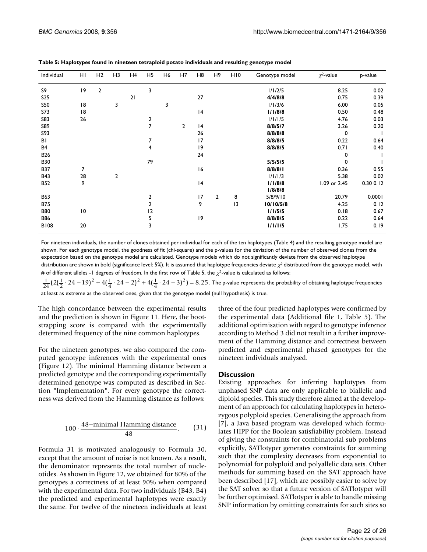| Individual  | HI | H <sub>2</sub> | H <sub>3</sub> | H <sub>4</sub> | H <sub>5</sub> | H <sub>6</sub> | H7             | H <sub>8</sub> | H <sub>9</sub> | H <sub>10</sub> | Genotype model | $\chi^2$ -value | p-value  |
|-------------|----|----------------|----------------|----------------|----------------|----------------|----------------|----------------|----------------|-----------------|----------------|-----------------|----------|
| S9          | 9  | 2              |                |                | 3              |                |                |                |                |                 | 1/1/2/5        | 8.25            | 0.02     |
| <b>S25</b>  |    |                |                | 21             |                |                |                | 27             |                |                 | 4/4/8/8        | 0.75            | 0.39     |
| <b>S50</b>  | 8  |                | 3              |                |                | 3              |                |                |                |                 | 1/1/3/6        | 6.00            | 0.05     |
| S73         | 18 |                |                |                |                |                |                | 4              |                |                 | 1/1/8/8        | 0.50            | 0.48     |
| <b>S83</b>  | 26 |                |                |                | $\frac{2}{7}$  |                |                |                |                |                 | 1/1/1/5        | 4.76            | 0.03     |
| <b>S89</b>  |    |                |                |                |                |                | $\overline{2}$ | 4              |                |                 | 8/8/5/7        | 3.26            | 0.20     |
| S93         |    |                |                |                |                |                |                | 26             |                |                 | 8/8/8/8        | 0               |          |
| BI          |    |                |                |                | 7              |                |                | 17             |                |                 | 8/8/8/5        | 0.22            | 0.64     |
| <b>B4</b>   |    |                |                |                | 4              |                |                | 9              |                |                 | 8/8/8/5        | 0.71            | 0.40     |
| <b>B26</b>  |    |                |                |                |                |                |                | 24             |                |                 |                | 0               |          |
| <b>B30</b>  |    |                |                |                | 79             |                |                |                |                |                 | 5/5/5/5        | $\mathbf 0$     |          |
| <b>B37</b>  | 7  |                |                |                |                |                |                | 16             |                |                 | 8/8/8/1        | 0.36            | 0.55     |
| <b>B43</b>  | 28 |                | $\overline{2}$ |                |                |                |                |                |                |                 | 1/1/1/3        | 5.38            | 0.02     |
| <b>B52</b>  | 9  |                |                |                |                |                |                | 4              |                |                 | 1/1/8/8        | 1.09 or 2.45    | 0.300.12 |
|             |    |                |                |                |                |                |                |                |                |                 | 1/8/8/8        |                 |          |
| <b>B63</b>  |    |                |                |                | 2              |                |                | 17             | $\overline{2}$ | 8               | 5/8/9/10       | 20.79           | 0.0001   |
| <b>B75</b>  |    |                |                |                | 2              |                |                | 9              |                | 13              | 10/10/5/8      | 4.25            | 0.12     |
| <b>B80</b>  | 10 |                |                |                | 12             |                |                |                |                |                 | 1/1/5/5        | 0.18            | 0.67     |
| <b>B86</b>  |    |                |                |                | 5              |                |                | 9              |                |                 | 8/8/8/5        | 0.22            | 0.64     |
| <b>B108</b> | 20 |                |                |                | 3              |                |                |                |                |                 | 1/1/1/5        | 1.75            | 0.19     |

**Table 5: Haplotypes found in nineteen tetraploid potato individuals and resulting genotype model**

For nineteen individuals, the number of clones obtained per individual for each of the ten haplotypes (Table 4) and the resulting genotype model are shown. For each genotype model, the goodness of fit (chi-square) and the p-values for the deviation of the number of observed clones from the expectation based on the genotype model are calculated. Genotype models which do not significantly deviate from the observed haplotype distribution are shown in bold (significance level: 5%). It is assumed that haplotype frequencies deviate  $\chi^2$  distributed from the genotype model, with # of different alleles -1 degrees of freedom. In the first row of Table 5, the  $\chi^2$ -value is calculated as follows:

 $\frac{1}{24}$   $\left(2(\frac{1}{2}\cdot 24-19)^2+4(\frac{1}{4}\cdot 24-2)^2+4(\frac{1}{4}\cdot 24-3)^2\right)=8.25$  . The p-value represents the probability of obtaining haplotype frequencies

at least as extreme as the observed ones, given that the genotype model (null hypothesis) is true.

The high concordance between the experimental results and the prediction is shown in Figure 11. Here, the bootstrapping score is compared with the experimentally determined frequency of the nine common haplotypes.

For the nineteen genotypes, we also compared the computed genotype inferences with the experimental ones (Figure 12). The minimal Hamming distance between a predicted genotype and the corresponding experimentally determined genotype was computed as described in Section "Implementation". For every genotype the correctness was derived from the Hamming distance as follows:

$$
100 \cdot \frac{48 - \text{minimal Hamming distance}}{48}.
$$
 (31)

Formula 31 is motivated analogously to Formula 30, except that the amount of noise is not known. As a result, the denominator represents the total number of nucleotides. As shown in Figure 12, we obtained for 80% of the genotypes a correctness of at least 90% when compared with the experimental data. For two individuals (B43, B4) the predicted and experimental haplotypes were exactly the same. For twelve of the nineteen individuals at least

three of the four predicted haplotypes were confirmed by the experimental data (Additional file 1, Table 5). The additional optimisation with regard to genotype inference according to Method 3 did not result in a further improvement of the Hamming distance and correctness between predicted and experimental phased genotypes for the nineteen individuals analysed.

#### **Discussion**

Existing approaches for inferring haplotypes from unphased SNP data are only applicable to biallelic and diploid species. This study therefore aimed at the development of an approach for calculating haplotypes in heterozygous polyploid species. Generalising the approach from [7], a Java based program was developed which formulates HIPP for the Boolean satisfiability problem. Instead of giving the constraints for combinatorial sub problems explicitly, SATlotyper generates constraints for summing such that the complexity decreases from exponential to polynomial for polyploid and polyallelic data sets. Other methods for summing based on the SAT approach have been described [17], which are possibly easier to solve by the SAT solver so that a future version of SATlotyper will be further optimised. SATlotyper is able to handle missing SNP information by omitting constraints for such sites so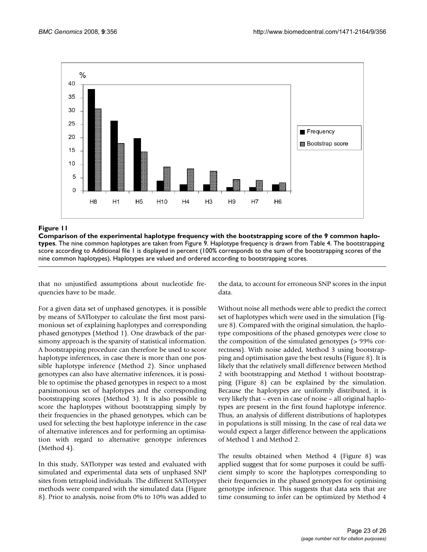

# Comparison of the experimental hapl **Figure 11** otype frequency with the bootstrapping score of the 9 common haplotypes

**Comparison of the experimental haplotype frequency with the bootstrapping score of the 9 common haplotypes**. The nine common haplotypes are taken from Figure 9. Haplotype frequency is drawn from Table 4. The bootstrapping score according to Additional file 1 is displayed in percent (100% corresponds to the sum of the bootstrapping scores of the nine common haplotypes). Haplotypes are valued and ordered according to bootstrapping scores.

that no unjustified assumptions about nucleotide frequencies have to be made.

For a given data set of unphased genotypes, it is possible by means of SATlotyper to calculate the first most parsimonious set of explaining haplotypes and corresponding phased genotypes (Method 1). One drawback of the parsimony approach is the sparsity of statistical information. A bootstrapping procedure can therefore be used to score haplotype inferences, in case there is more than one possible haplotype inference (Method 2). Since unphased genotypes can also have alternative inferences, it is possible to optimise the phased genotypes in respect to a most parsimonious set of haplotypes and the corresponding bootstrapping scores (Method 3). It is also possible to score the haplotypes without bootstrapping simply by their frequencies in the phased genotypes, which can be used for selecting the best haplotype inference in the case of alternative inferences and for performing an optimisation with regard to alternative genotype inferences (Method 4).

In this study, SATlotyper was tested and evaluated with simulated and experimental data sets of unphased SNP sites from tetraploid individuals. The different SATlotyper methods were compared with the simulated data (Figure 8). Prior to analysis, noise from 0% to 10% was added to

the data, to account for erroneous SNP scores in the input data.

Without noise all methods were able to predict the correct set of haplotypes which were used in the simulation (Figure 8). Compared with the original simulation, the haplotype compositions of the phased genotypes were close to the composition of the simulated genotypes (> 99% correctness). With noise added, Method 3 using bootstrapping and optimisation gave the best results (Figure 8). It is likely that the relatively small difference between Method 2 with bootstrapping and Method 1 without bootstrapping (Figure 8) can be explained by the simulation. Because the haplotypes are uniformly distributed, it is very likely that – even in case of noise – all original haplotypes are present in the first found haplotype inference. Thus, an analysis of different distributions of haplotypes in populations is still missing. In the case of real data we would expect a larger difference between the applications of Method 1 and Method 2.

The results obtained when Method 4 (Figure 8) was applied suggest that for some purposes it could be sufficient simply to score the haplotypes corresponding to their frequencies in the phased genotypes for optimising genotype inference. This suggests that data sets that are time consuming to infer can be optimized by Method 4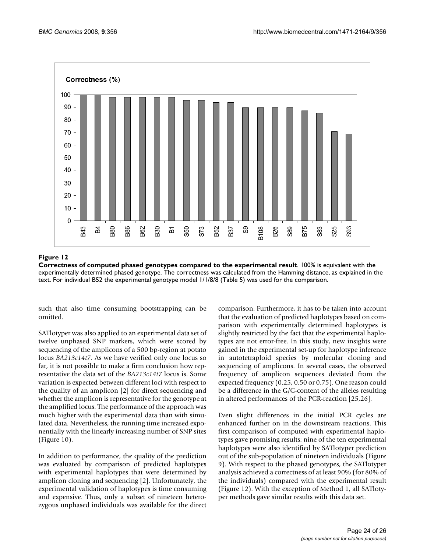

**Correctness of computed phased genotypes compared to the experimental result**. 100% is equivalent with the experimentally determined phased genotype. The correctness was calculated from the Hamming distance, as explained in the text. For individual B52 the experimental genotype model 1/1/8/8 (Table 5) was used for the comparison.

such that also time consuming bootstrapping can be omitted.

SATlotyper was also applied to an experimental data set of twelve unphased SNP markers, which were scored by sequencing of the amplicons of a 500 bp-region at potato locus *BA213c14t7*. As we have verified only one locus so far, it is not possible to make a firm conclusion how representative the data set of the *BA213c14t7* locus is. Some variation is expected between different loci with respect to the quality of an amplicon [2] for direct sequencing and whether the amplicon is representative for the genotype at the amplified locus. The performance of the approach was much higher with the experimental data than with simulated data. Nevertheless, the running time increased exponentially with the linearly increasing number of SNP sites (Figure 10).

In addition to performance, the quality of the prediction was evaluated by comparison of predicted haplotypes with experimental haplotypes that were determined by amplicon cloning and sequencing [2]. Unfortunately, the experimental validation of haplotypes is time consuming and expensive. Thus, only a subset of nineteen heterozygous unphased individuals was available for the direct comparison. Furthermore, it has to be taken into account that the evaluation of predicted haplotypes based on comparison with experimentally determined haplotypes is slightly restricted by the fact that the experimental haplotypes are not error-free. In this study, new insights were gained in the experimental set-up for haplotype inference in autotetraploid species by molecular cloning and sequencing of amplicons. In several cases, the observed frequency of amplicon sequences deviated from the expected frequency (0.25, 0.50 or 0.75). One reason could be a difference in the G/C-content of the alleles resulting in altered performances of the PCR-reaction [25,26].

Even slight differences in the initial PCR cycles are enhanced further on in the downstream reactions. This first comparison of computed with experimental haplotypes gave promising results: nine of the ten experimental haplotypes were also identified by SATlotyper prediction out of the sub-population of nineteen individuals (Figure 9). With respect to the phased genotypes, the SATlotyper analysis achieved a correctness of at least 90% (for 80% of the individuals) compared with the experimental result (Figure 12). With the exception of Method 1, all SATlotyper methods gave similar results with this data set.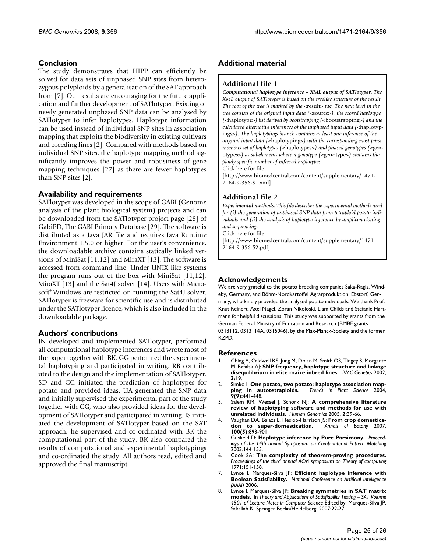# **Conclusion**

The study demonstrates that HIPP can efficiently be solved for data sets of unphased SNP sites from heterozygous polyploids by a generalisation of the SAT approach from [7]. Our results are encouraging for the future application and further development of SATlotyper. Existing or newly generated unphased SNP data can be analysed by SATlotyper to infer haplotypes. Haplotype information can be used instead of individual SNP sites in association mapping that exploits the biodiversity in existing cultivars and breeding lines [2]. Compared with methods based on individual SNP sites, the haplotype mapping method significantly improves the power and robustness of gene mapping techniques [27] as there are fewer haplotypes than SNP sites [2].

#### **Availability and requirements**

SATlotyper was developed in the scope of GABI (Genome analysis of the plant biological system) projects and can be downloaded from the SATlotyper project page [28] of GabiPD, The GABI Primary Database [29]. The software is distributed as a Java JAR file and requires Java Runtime Environment 1.5.0 or higher. For the user's convenience, the downloadable archive contains statically linked versions of MiniSat [11,12] and MiraXT [13]. The software is accessed from command line. Under UNIX like systems the program runs out of the box with MiniSat [11,12], MiraXT [13] and the Sat4J solver [14]. Users with Microsoft® Windows are restricted on running the Sat4J solver. SATlotyper is freeware for scientific use and is distributed under the SATlotyper licence, which is also included in the downloadable package.

#### **Authors' contributions**

JN developed and implemented SATlotyper, performed all computational haplotype inferences and wrote most of the paper together with BK. GG performed the experimental haplotyping and participated in writing. RB contributed to the design and the implementation of SATlotyper. SD and CG initiated the prediction of haplotypes for potato and provided ideas. UA generated the SNP data and initially supervised the experimental part of the study together with CG, who also provided ideas for the development of SATlotyper and participated in writing. JS initiated the development of SATlotyper based on the SAT approach, he supervised and co-ordinated with BK the computational part of the study. BK also compared the results of computational and experimental haplotypings and co-ordinated the study. All authors read, edited and approved the final manuscript.

# **Additional material**

#### **Additional file 1**

*Computational haplotype inference – XML output of SATlotyper. The XML output of SATlotyper is based on the treelike structure of the result. The root of the tree is marked by the <*result*> tag. The next level in the tree consists of the original input data (<*source*>), the scored haplotype (<*haplotype*>) list derived by bootstrapping (<*bootstrapping*>) and the calculated alternative inferences of the unphased input data (<*haplotypings*>). The haplotypings branch contains at least one inference of the original input data (<*haplotyping*>) with the corresponding most parsimonious set of haplotypes (<*haplotypes*>) and phased genotypes (<*genotypes*>) as subelements where a genotype (<*genotype*>) contains the ploidy-specific number of inferred haplotypes.* Click here for file

[\[http://www.biomedcentral.com/content/supplementary/1471-](http://www.biomedcentral.com/content/supplementary/1471-2164-9-356-S1.xml) 2164-9-356-S1.xml]

# **Additional file 2**

*Experimental methods. This file describes the experimental methods used for (i) the generation of unphased SNP data from tetraploid potato individuals and (ii) the analysis of haplotype inference by amplicon cloning and sequencing.*

Click here for file

[\[http://www.biomedcentral.com/content/supplementary/1471-](http://www.biomedcentral.com/content/supplementary/1471-2164-9-356-S2.pdf) 2164-9-356-S2.pdf]

# **Acknowledgements**

We are very grateful to the potato breeding companies Saka-Ragis, Windeby, Germany, and Böhm-Nordkartoffel Agrarproduktion, Ebstorf, Germany, who kindly provided the analysed potato individuals. We thank Prof. Knut Reinert, Axel Nagel, Zoran Nikoloski, Liam Childs and Stefanie Hartmann for helpful discussions. This study was supported by grants from the German Federal Ministry of Education and Research (BMBF grants 0313112, 0313114A, 0315046), by the Max-Planck-Society and the former RZPD.

#### **References**

- 1. Ching A, Caldwell KS, Jung M, Dolan M, Smith OS, Tingey S, Morgante M, Rafalsk AJ: **[SNP frequency, haplotype structure and linkage](http://www.ncbi.nlm.nih.gov/entrez/query.fcgi?cmd=Retrieve&db=PubMed&dopt=Abstract&list_uids=12366868) [disequilibrium in elite maize inbred lines.](http://www.ncbi.nlm.nih.gov/entrez/query.fcgi?cmd=Retrieve&db=PubMed&dopt=Abstract&list_uids=12366868)** *BMC Genetics* 2002, **3:**19.
- 2. Simko I: **[One potato, two potato: haplotype association map](http://www.ncbi.nlm.nih.gov/entrez/query.fcgi?cmd=Retrieve&db=PubMed&dopt=Abstract&list_uids=15337494)[ping in autotetraploids.](http://www.ncbi.nlm.nih.gov/entrez/query.fcgi?cmd=Retrieve&db=PubMed&dopt=Abstract&list_uids=15337494)** *Trends in Plant Science* 2004, **9(9):**441-448.
- 3. Salem RM, Wessel J, Schork NJ: **[A comprehensive literature](http://www.ncbi.nlm.nih.gov/entrez/query.fcgi?cmd=Retrieve&db=PubMed&dopt=Abstract&list_uids=15814067) [review of haplotyping software and methods for use with](http://www.ncbi.nlm.nih.gov/entrez/query.fcgi?cmd=Retrieve&db=PubMed&dopt=Abstract&list_uids=15814067) [unrelated individuals.](http://www.ncbi.nlm.nih.gov/entrez/query.fcgi?cmd=Retrieve&db=PubMed&dopt=Abstract&list_uids=15814067)** *Human Genomics* 2005, **2:**39-66.
- 4. Vaughan DA, Balazs E, Heslop-Harrison JS: **[From crop domestica](http://www.ncbi.nlm.nih.gov/entrez/query.fcgi?cmd=Retrieve&db=PubMed&dopt=Abstract&list_uids=17940074)**[tion to super-domestication.](http://www.ncbi.nlm.nih.gov/entrez/query.fcgi?cmd=Retrieve&db=PubMed&dopt=Abstract&list_uids=17940074) **100(5):**893-901.
- 5. Gusfield D: **Haplotype inference by Pure Parsimony.** *Proceedings of the 14th annual Symposium on Combinatorial Pattern Matching* 2003:144-155.
- 6. Cook SA: **The complexity of theorem-proving procedures.** *Proceedings of the third annual ACM symposium on Theory of computing* 1971:151-158.
- 7. Lynce I, Marques-Silva JP: **Efficient haplotype inference with Boolean Satisfiability.** *National Conference on Artificial Intelligence (AAAI)* 2006.
- 8. Lynce I, Marques-Silva JP: **Breaking symmetries in SAT matrix models.** In *Theory and Applications of Satisfiability Testing – SAT Volume 4501 of Lecture Notes in Computer Science* Edited by: Marques-Silva JP, Sakallah K. Springer Berlin/Heidelberg; 2007:22-27.